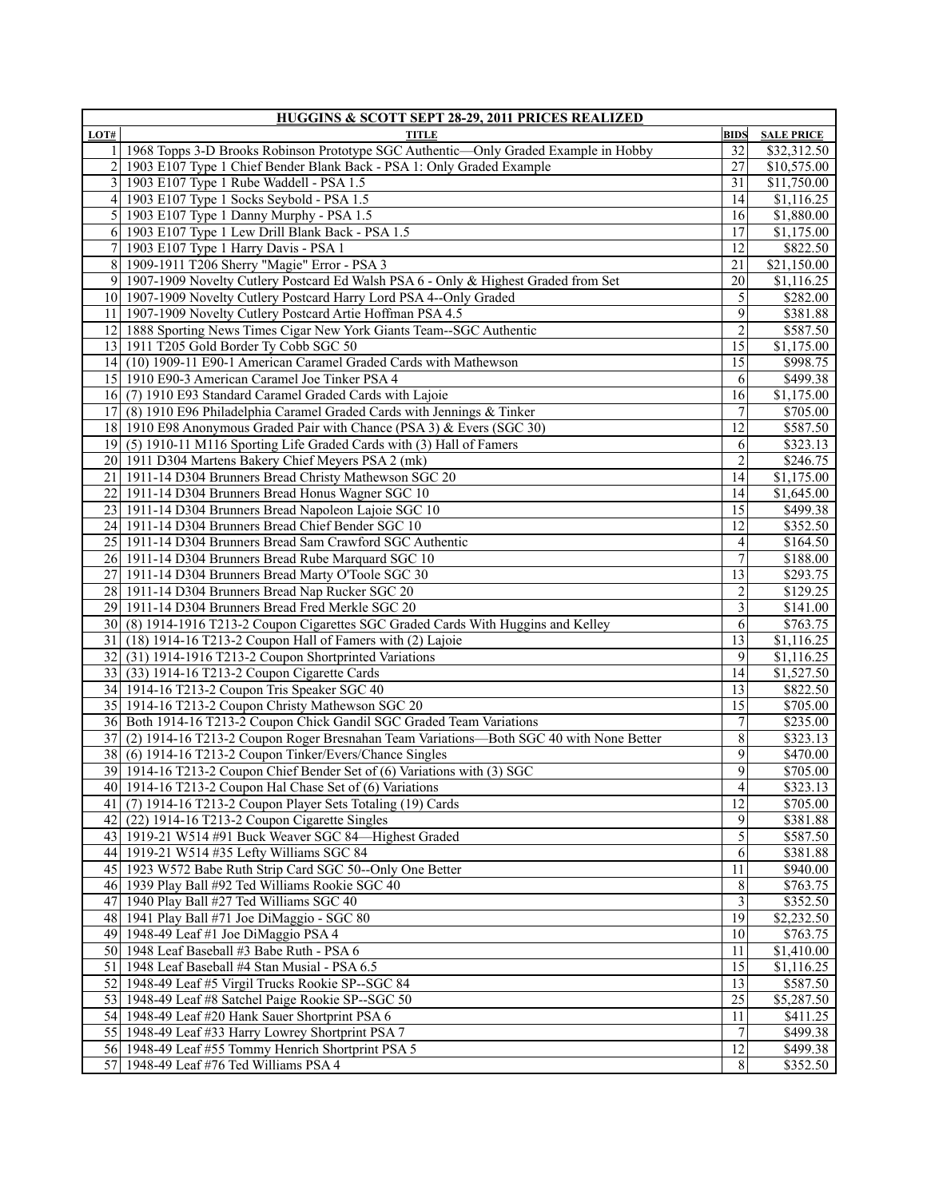| <b>HUGGINS &amp; SCOTT SEPT 28-29, 2011 PRICES REALIZED</b> |                                                                                           |                         |                       |
|-------------------------------------------------------------|-------------------------------------------------------------------------------------------|-------------------------|-----------------------|
| LOT#                                                        | TITLE                                                                                     | <b>BIDS</b>             | <b>SALE PRICE</b>     |
| 11                                                          | 1968 Topps 3-D Brooks Robinson Prototype SGC Authentic-Only Graded Example in Hobby       | 32                      | \$32,312.50           |
|                                                             | 1903 E107 Type 1 Chief Bender Blank Back - PSA 1: Only Graded Example                     | 27                      | \$10,575.00           |
|                                                             | 3 1903 E107 Type 1 Rube Waddell - PSA 1.5                                                 | 31                      | \$11,750.00           |
|                                                             | 4 1903 E107 Type 1 Socks Seybold - PSA 1.5                                                | 14                      | \$1,116.25            |
|                                                             | 5 1903 E107 Type 1 Danny Murphy - PSA 1.5                                                 | 16                      | \$1,880.00            |
| 6I                                                          | 1903 E107 Type 1 Lew Drill Blank Back - PSA 1.5                                           | 17                      | \$1,175.00            |
| 71                                                          | 1903 E107 Type 1 Harry Davis - PSA 1                                                      | 12                      | \$822.50              |
|                                                             | 8 1909-1911 T206 Sherry "Magie" Error - PSA 3                                             | 21                      | \$21,150.00           |
|                                                             | 9 1907-1909 Novelty Cutlery Postcard Ed Walsh PSA 6 - Only & Highest Graded from Set      | 20                      | \$1,116.25            |
|                                                             | 10 1907-1909 Novelty Cutlery Postcard Harry Lord PSA 4--Only Graded                       | 5                       | \$282.00              |
|                                                             | 11 1907-1909 Novelty Cutlery Postcard Artie Hoffman PSA 4.5                               | 9                       | \$381.88              |
|                                                             | 12 1888 Sporting News Times Cigar New York Giants Team-SGC Authentic                      | $\overline{2}$          | \$587.50              |
|                                                             | 13 1911 T205 Gold Border Ty Cobb SGC 50                                                   | $\overline{15}$         | \$1,175.00            |
|                                                             | 14 (10) 1909-11 E90-1 American Caramel Graded Cards with Mathewson                        | 15                      | \$998.75              |
|                                                             | 15 1910 E90-3 American Caramel Joe Tinker PSA 4                                           | 6                       | \$499.38              |
|                                                             | 16 (7) 1910 E93 Standard Caramel Graded Cards with Lajoie                                 | 16                      | \$1,175.00            |
|                                                             | 17 (8) 1910 E96 Philadelphia Caramel Graded Cards with Jennings & Tinker                  | 7                       | \$705.00              |
|                                                             | 18 1910 E98 Anonymous Graded Pair with Chance (PSA 3) & Evers (SGC 30)                    | 12                      | \$587.50              |
|                                                             | 19 (5) 1910-11 M116 Sporting Life Graded Cards with (3) Hall of Famers                    | 6                       | \$323.13              |
|                                                             |                                                                                           | $\overline{2}$          |                       |
|                                                             | 20 1911 D304 Martens Bakery Chief Meyers PSA 2 (mk)                                       |                         | \$246.75              |
| 21                                                          | 1911-14 D304 Brunners Bread Christy Mathewson SGC 20                                      | 14                      | \$1,175.00            |
| 22 I                                                        | 1911-14 D304 Brunners Bread Honus Wagner SGC 10                                           | 14                      | \$1,645.00            |
|                                                             | 23 1911-14 D304 Brunners Bread Napoleon Lajoie SGC 10                                     | 15                      | \$499.38              |
|                                                             | 24 1911-14 D304 Brunners Bread Chief Bender SGC 10                                        | 12                      | \$352.50              |
|                                                             | 25 1911-14 D304 Brunners Bread Sam Crawford SGC Authentic                                 | $\overline{4}$          | \$164.50              |
|                                                             | 26 1911-14 D304 Brunners Bread Rube Marquard SGC 10                                       | 7                       | \$188.00              |
|                                                             | 27 1911-14 D304 Brunners Bread Marty O'Toole SGC 30                                       | 13                      | \$293.75              |
|                                                             | 28 1911-14 D304 Brunners Bread Nap Rucker SGC 20                                          | $\overline{c}$          | \$129.25              |
|                                                             | 29 1911-14 D304 Brunners Bread Fred Merkle SGC 20                                         | $\overline{\mathbf{3}}$ | \$141.00              |
|                                                             | 30 (8) 1914-1916 T213-2 Coupon Cigarettes SGC Graded Cards With Huggins and Kelley        | 6                       | \$763.75              |
|                                                             | 31 (18) 1914-16 T213-2 Coupon Hall of Famers with (2) Lajoie                              | $\overline{13}$         | \$1,116.25            |
| 32                                                          | (31) 1914-1916 T213-2 Coupon Shortprinted Variations                                      | 9                       | \$1,116.25            |
|                                                             | 33 (33) 1914-16 T213-2 Coupon Cigarette Cards                                             | 14                      | $\overline{1,527.50}$ |
|                                                             | 34 1914-16 T213-2 Coupon Tris Speaker SGC 40                                              | 13                      | \$822.50              |
|                                                             | 35 1914-16 T213-2 Coupon Christy Mathewson SGC 20                                         | $\overline{15}$         | \$705.00              |
|                                                             | 36 Both 1914-16 T213-2 Coupon Chick Gandil SGC Graded Team Variations                     | $\overline{7}$          | \$235.00              |
|                                                             | 37 (2) 1914-16 T213-2 Coupon Roger Bresnahan Team Variations—Both SGC 40 with None Better | 8                       | \$323.13              |
|                                                             | 38 (6) 1914-16 T213-2 Coupon Tinker/Evers/Chance Singles                                  | 9                       | \$470.00              |
|                                                             | 39 1914-16 T213-2 Coupon Chief Bender Set of (6) Variations with (3) SGC                  | 9                       | \$705.00              |
|                                                             | 40 1914-16 T213-2 Coupon Hal Chase Set of (6) Variations                                  | $\overline{\mathbf{r}}$ | \$323.13              |
|                                                             | 41 (7) 1914-16 T213-2 Coupon Player Sets Totaling (19) Cards                              | $\overline{12}$         | \$705.00              |
|                                                             | 42 (22) 1914-16 T213-2 Coupon Cigarette Singles                                           | 9                       | \$381.88              |
|                                                             | 43 1919-21 W514 #91 Buck Weaver SGC 84—Highest Graded                                     | 5                       | \$587.50              |
|                                                             | 44 1919-21 W514 #35 Lefty Williams SGC 84                                                 | 6                       | \$381.88              |
|                                                             | 45 1923 W572 Babe Ruth Strip Card SGC 50--Only One Better                                 | 11                      | \$940.00              |
|                                                             | 46 1939 Play Ball #92 Ted Williams Rookie SGC 40                                          | 8                       | \$763.75              |
|                                                             | 47 1940 Play Ball #27 Ted Williams SGC 40                                                 | $\overline{3}$          | \$352.50              |
|                                                             |                                                                                           |                         |                       |
|                                                             | 48 1941 Play Ball #71 Joe DiMaggio - SGC 80                                               | 19                      | \$2,232.50            |
|                                                             | 49 1948-49 Leaf #1 Joe DiMaggio PSA 4                                                     | 10                      | \$763.75              |
|                                                             | 50 1948 Leaf Baseball #3 Babe Ruth - PSA 6                                                | 11                      | \$1,410.00            |
|                                                             | 51 1948 Leaf Baseball #4 Stan Musial - PSA 6.5                                            | $\overline{15}$         | \$1,116.25            |
|                                                             | 52 1948-49 Leaf #5 Virgil Trucks Rookie SP--SGC 84                                        | 13                      | \$587.50              |
|                                                             | 53 1948-49 Leaf #8 Satchel Paige Rookie SP--SGC 50                                        | $\overline{25}$         | \$5,287.50            |
|                                                             | 54 1948-49 Leaf #20 Hank Sauer Shortprint PSA 6                                           | 11                      | \$411.25              |
|                                                             | 55 1948-49 Leaf #33 Harry Lowrey Shortprint PSA 7                                         | $7\phantom{.0}$         | \$499.38              |
|                                                             | 56 1948-49 Leaf #55 Tommy Henrich Shortprint PSA 5                                        | $\overline{12}$         | \$499.38              |
|                                                             | 57 1948-49 Leaf #76 Ted Williams PSA 4                                                    | 8                       | \$352.50              |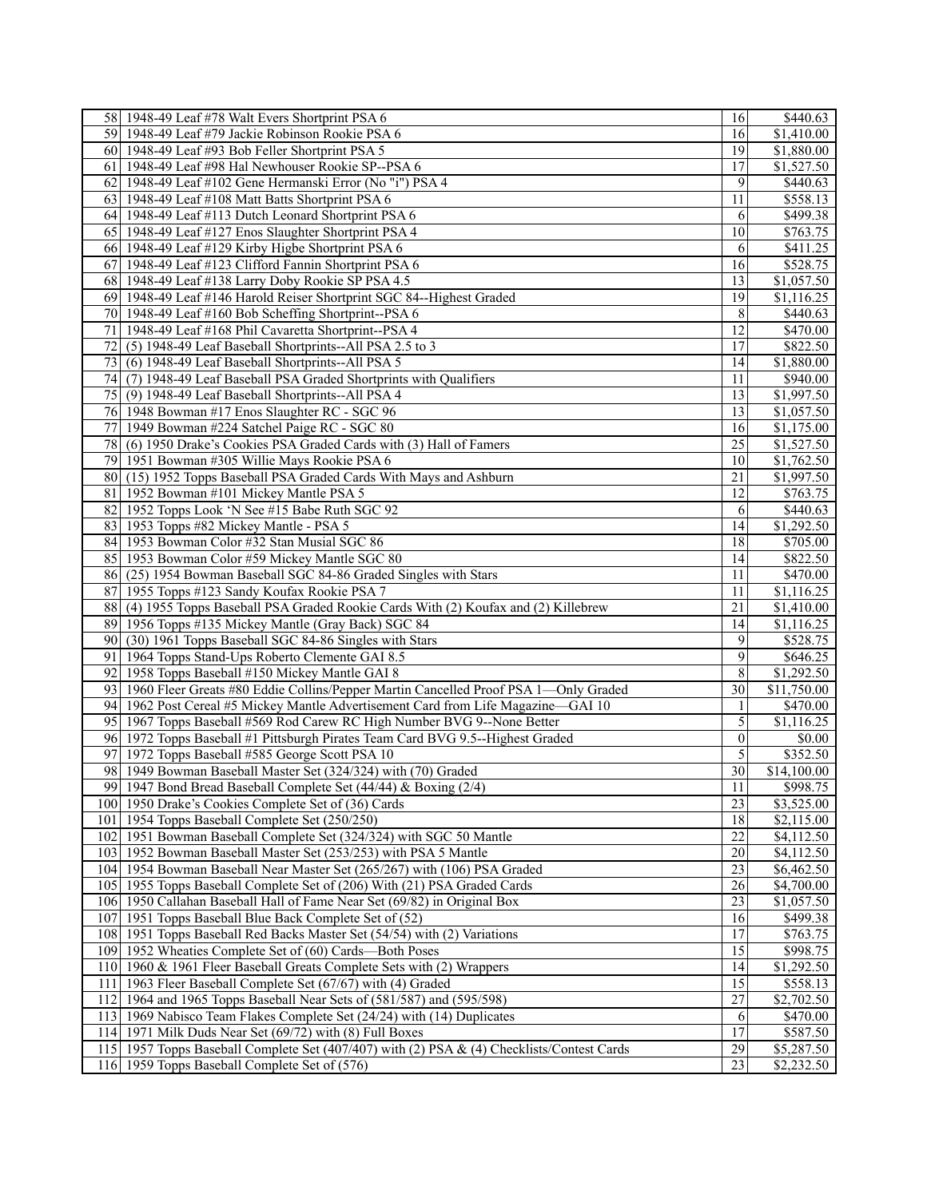|    | 58 1948-49 Leaf #78 Walt Evers Shortprint PSA 6                                            | 16              | \$440.63               |
|----|--------------------------------------------------------------------------------------------|-----------------|------------------------|
|    | 59 1948-49 Leaf #79 Jackie Robinson Rookie PSA 6                                           | 16              | $\overline{$1,410.00}$ |
|    | 60 1948-49 Leaf #93 Bob Feller Shortprint PSA 5                                            | 19              | \$1,880.00             |
|    | 61 1948-49 Leaf #98 Hal Newhouser Rookie SP--PSA 6                                         | 17              | \$1,527.50             |
|    | 62 1948-49 Leaf #102 Gene Hermanski Error (No "i") PSA 4                                   | 9               | \$440.63               |
|    | 63 1948-49 Leaf #108 Matt Batts Shortprint PSA 6                                           | 11              | \$558.13               |
|    | 64 1948-49 Leaf #113 Dutch Leonard Shortprint PSA 6                                        | 6               | \$499.38               |
|    | 65 1948-49 Leaf #127 Enos Slaughter Shortprint PSA 4                                       | 10              | \$763.75               |
|    | 66 1948-49 Leaf #129 Kirby Higbe Shortprint PSA 6                                          | 6               | \$411.25               |
|    | 67 1948-49 Leaf #123 Clifford Fannin Shortprint PSA 6                                      | 16              | \$528.75               |
|    | 68 1948-49 Leaf #138 Larry Doby Rookie SP PSA 4.5                                          | 13              | \$1,057.50             |
|    | 69 1948-49 Leaf #146 Harold Reiser Shortprint SGC 84--Highest Graded                       | 19              | \$1,116.25             |
|    | 70 1948-49 Leaf #160 Bob Scheffing Shortprint--PSA 6                                       | 8               | \$440.63               |
|    | 71   1948-49 Leaf #168 Phil Cavaretta Shortprint--PSA 4                                    | 12              | \$470.00               |
| 72 | (5) 1948-49 Leaf Baseball Shortprints--All PSA 2.5 to 3                                    | 17              | \$822.50               |
|    |                                                                                            |                 |                        |
|    | 73 (6) 1948-49 Leaf Baseball Shortprints--All PSA 5                                        | 14              | \$1,880.00             |
|    | 74 (7) 1948-49 Leaf Baseball PSA Graded Shortprints with Qualifiers                        | 11              | \$940.00               |
|    | 75 (9) 1948-49 Leaf Baseball Shortprints--All PSA 4                                        | 13              | \$1,997.50             |
|    | 76 1948 Bowman #17 Enos Slaughter RC - SGC 96                                              | 13              | \$1,057.50             |
|    | 77 1949 Bowman #224 Satchel Paige RC - SGC 80                                              | 16              | \$1,175.00             |
|    | 78 (6) 1950 Drake's Cookies PSA Graded Cards with (3) Hall of Famers                       | 25              | \$1,527.50             |
|    | 79 1951 Bowman #305 Willie Mays Rookie PSA 6                                               | 10              | \$1,762.50             |
|    | 80 (15) 1952 Topps Baseball PSA Graded Cards With Mays and Ashburn                         | 21              | \$1,997.50             |
|    | 81   1952 Bowman #101 Mickey Mantle PSA 5                                                  | 12              | \$763.75               |
|    | 82 1952 Topps Look 'N See #15 Babe Ruth SGC 92                                             | 6               | \$440.63               |
|    | 83 1953 Topps #82 Mickey Mantle - PSA 5                                                    | 14              | \$1,292.50             |
|    | 84 1953 Bowman Color #32 Stan Musial SGC 86                                                | 18              | \$705.00               |
|    | 85 1953 Bowman Color #59 Mickey Mantle SGC 80                                              | 14              | \$822.50               |
|    | 86 (25) 1954 Bowman Baseball SGC 84-86 Graded Singles with Stars                           | 11              | \$470.00               |
|    | 87 1955 Topps #123 Sandy Koufax Rookie PSA                                                 | 11              | \$1,116.25             |
|    | 88 (4) 1955 Topps Baseball PSA Graded Rookie Cards With (2) Koufax and (2) Killebrew       | 21              | \$1,410.00             |
|    | 89 1956 Topps #135 Mickey Mantle (Gray Back) SGC 84                                        | $\overline{14}$ | \$1,116.25             |
|    | 90 (30) 1961 Topps Baseball SGC 84-86 Singles with Stars                                   | 9               | \$528.75               |
|    | 91   1964 Topps Stand-Ups Roberto Clemente GAI 8.5                                         | 9               | \$646.25               |
|    | 92 1958 Topps Baseball #150 Mickey Mantle GAI 8                                            | 8               | \$1,292.50             |
|    | 93 1960 Fleer Greats #80 Eddie Collins/Pepper Martin Cancelled Proof PSA 1-Only Graded     | 30              | \$11,750.00            |
|    | 94 1962 Post Cereal #5 Mickey Mantle Advertisement Card from Life Magazine—GAI 10          | $\mathbf{1}$    | \$470.00               |
|    | 95 1967 Topps Baseball #569 Rod Carew RC High Number BVG 9--None Better                    | 5               | \$1,116.25             |
|    | 96 1972 Topps Baseball #1 Pittsburgh Pirates Team Card BVG 9.5--Highest Graded             | $\theta$        | \$0.00                 |
|    | 97 1972 Topps Baseball #585 George Scott PSA 10                                            | 5               | \$352.50               |
|    | 98 1949 Bowman Baseball Master Set (324/324) with (70) Graded                              | 30              | \$14,100.00            |
|    | 99 1947 Bond Bread Baseball Complete Set (44/44) & Boxing (2/4)                            | $11\,$          | \$998.75               |
|    | 100 1950 Drake's Cookies Complete Set of (36) Cards                                        | $\overline{23}$ | \$3,525.00             |
|    | 101   1954 Topps Baseball Complete Set (250/250)                                           | 18              | \$2,115.00             |
|    | 102 1951 Bowman Baseball Complete Set (324/324) with SGC 50 Mantle                         | $\overline{22}$ | \$4,112.50             |
|    | 103 1952 Bowman Baseball Master Set (253/253) with PSA 5 Mantle                            | 20              | \$4,112.50             |
|    | 104 1954 Bowman Baseball Near Master Set (265/267) with (106) PSA Graded                   | $\overline{23}$ | \$6,462.50             |
|    | 105 1955 Topps Baseball Complete Set of (206) With (21) PSA Graded Cards                   | 26              | \$4,700.00             |
|    | 106 1950 Callahan Baseball Hall of Fame Near Set (69/82) in Original Box                   | 23              | \$1,057.50             |
|    | 107 1951 Topps Baseball Blue Back Complete Set of (52)                                     | 16              | \$499.38               |
|    | 108 1951 Topps Baseball Red Backs Master Set (54/54) with (2) Variations                   | 17              | \$763.75               |
|    | 109 1952 Wheaties Complete Set of (60) Cards—Both Poses                                    | $\overline{15}$ | \$998.75               |
|    | 110 1960 & 1961 Fleer Baseball Greats Complete Sets with (2) Wrappers                      | 14              | \$1,292.50             |
|    | 111 1963 Fleer Baseball Complete Set (67/67) with (4) Graded                               | $\overline{15}$ | \$558.13               |
|    | 112 1964 and 1965 Topps Baseball Near Sets of (581/587) and (595/598)                      | $\overline{27}$ | \$2,702.50             |
|    | 113 1969 Nabisco Team Flakes Complete Set (24/24) with (14) Duplicates                     | 6               | \$470.00               |
|    | 114 1971 Milk Duds Near Set (69/72) with (8) Full Boxes                                    | $\overline{17}$ | \$587.50               |
|    | 115 1957 Topps Baseball Complete Set (407/407) with (2) PSA & (4) Checklists/Contest Cards | $\overline{29}$ | \$5,287.50             |
|    | 116 1959 Topps Baseball Complete Set of (576)                                              | 23              | \$2,232.50             |
|    |                                                                                            |                 |                        |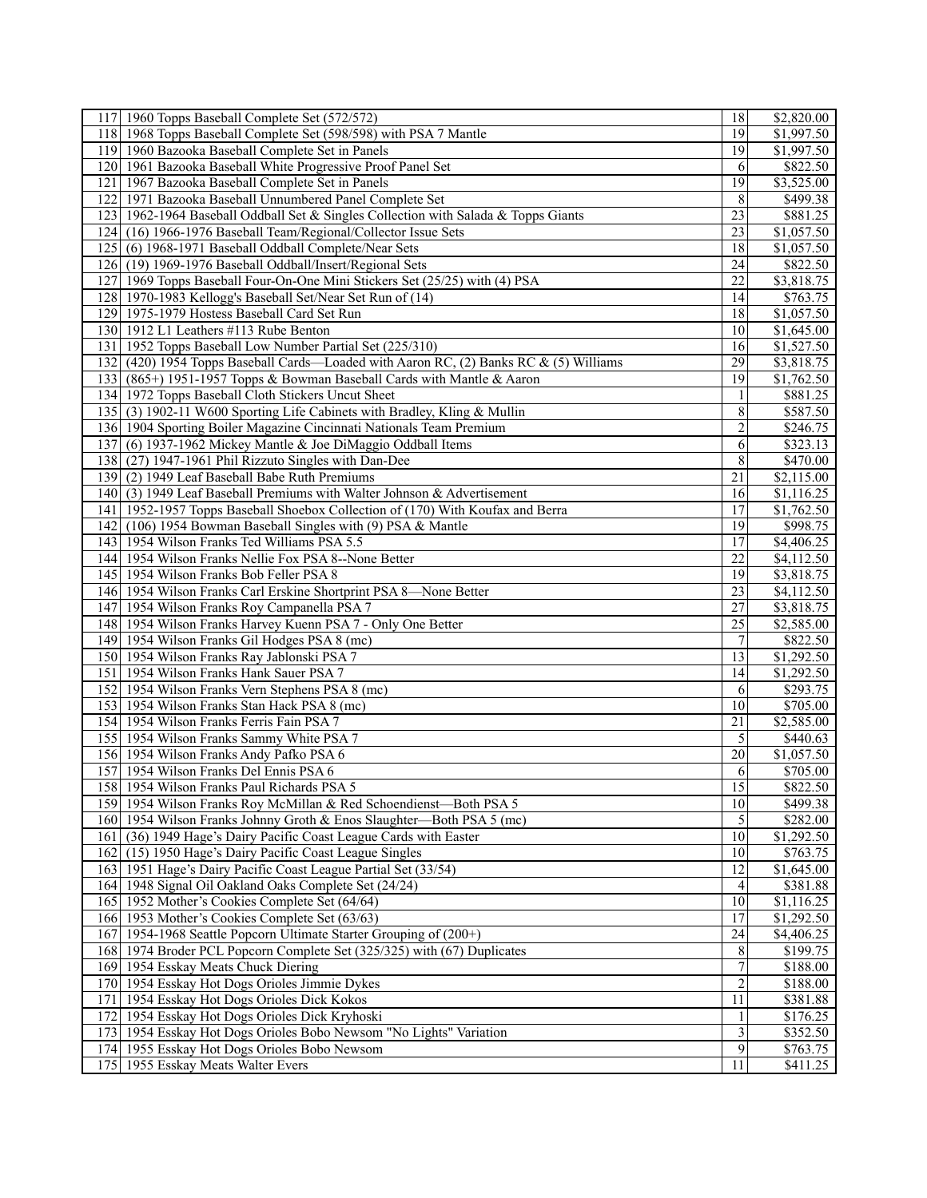| 117 1960 Topps Baseball Complete Set (572/572)                                        | 18              | \$2,820.00            |
|---------------------------------------------------------------------------------------|-----------------|-----------------------|
| 118 1968 Topps Baseball Complete Set (598/598) with PSA 7 Mantle                      | 19              | \$1,997.50            |
| 119 1960 Bazooka Baseball Complete Set in Panels                                      | 19              | \$1,997.50            |
| 120 1961 Bazooka Baseball White Progressive Proof Panel Set                           | 6               | \$822.50              |
| 121 1967 Bazooka Baseball Complete Set in Panels                                      | 19              | \$3,525.00            |
| 122 1971 Bazooka Baseball Unnumbered Panel Complete Set                               | 8               | \$499.38              |
| 123 1962-1964 Baseball Oddball Set & Singles Collection with Salada & Topps Giants    | 23              | \$881.25              |
|                                                                                       | 23              |                       |
| 124 (16) 1966-1976 Baseball Team/Regional/Collector Issue Sets                        |                 | \$1,057.50            |
| 125 (6) 1968-1971 Baseball Oddball Complete/Near Sets                                 | $\overline{18}$ | \$1,057.50            |
| 126 (19) 1969-1976 Baseball Oddball/Insert/Regional Sets                              | 24              | \$822.50              |
| 127 1969 Topps Baseball Four-On-One Mini Stickers Set (25/25) with (4) PSA            | 22              | \$3,818.75            |
| 1970-1983 Kellogg's Baseball Set/Near Set Run of (14)<br>128                          | 14              | \$763.75              |
| 129 1975-1979 Hostess Baseball Card Set Run                                           | 18              | \$1,057.50            |
| 130 1912 L1 Leathers #113 Rube Benton                                                 | 10              | $\overline{1,645.00}$ |
| 131 1952 Topps Baseball Low Number Partial Set (225/310)                              | 16              | \$1,527.50            |
| 132 (420) 1954 Topps Baseball Cards—Loaded with Aaron RC, (2) Banks RC & (5) Williams | $\overline{29}$ | \$3,818.75            |
| 133 (865+) 1951-1957 Topps & Bowman Baseball Cards with Mantle & Aaron                | 19              | \$1,762.50            |
| 134 1972 Topps Baseball Cloth Stickers Uncut Sheet                                    | 1               | \$881.25              |
| 135 (3) 1902-11 W600 Sporting Life Cabinets with Bradley, Kling & Mullin              | 8               | \$587.50              |
| 136 1904 Sporting Boiler Magazine Cincinnati Nationals Team Premium                   | $\overline{2}$  | \$246.75              |
|                                                                                       |                 |                       |
| 137 (6) 1937-1962 Mickey Mantle & Joe DiMaggio Oddball Items                          | 6               | \$323.13              |
| 138 (27) 1947-1961 Phil Rizzuto Singles with Dan-Dee                                  | 8               | \$470.00              |
| 139 (2) 1949 Leaf Baseball Babe Ruth Premiums                                         | 21              | \$2,115.00            |
| 140 (3) 1949 Leaf Baseball Premiums with Walter Johnson & Advertisement               | 16              | $\overline{1,116.25}$ |
| 141 1952-1957 Topps Baseball Shoebox Collection of (170) With Koufax and Berra        | 17              | \$1,762.50            |
| 142 (106) 1954 Bowman Baseball Singles with (9) PSA & Mantle                          | $\overline{19}$ | \$998.75              |
| 143 1954 Wilson Franks Ted Williams PSA 5.5                                           | 17              | \$4,406.25            |
| 144 1954 Wilson Franks Nellie Fox PSA 8--None Better                                  | 22              | \$4,112.50            |
| 145 1954 Wilson Franks Bob Feller PSA 8                                               | 19              | \$3,818.75            |
| 146 1954 Wilson Franks Carl Erskine Shortprint PSA 8-None Better                      | 23              | \$4,112.50            |
| 147 1954 Wilson Franks Roy Campanella PSA 7                                           | $\overline{27}$ | \$3,818.75            |
| 148 1954 Wilson Franks Harvey Kuenn PSA 7 - Only One Better                           | $\overline{25}$ | \$2,585.00            |
| 149 1954 Wilson Franks Gil Hodges PSA 8 (mc)                                          | 7               | \$822.50              |
| 150 1954 Wilson Franks Ray Jablonski PSA 7                                            | 13              | \$1,292.50            |
| 151 1954 Wilson Franks Hank Sauer PSA 7                                               | 14              | \$1,292.50            |
|                                                                                       |                 |                       |
| 152 1954 Wilson Franks Vern Stephens PSA 8 (mc)                                       | 6               | \$293.75              |
| 153 1954 Wilson Franks Stan Hack PSA 8 (mc)                                           | 10              | \$705.00              |
| 154 1954 Wilson Franks Ferris Fain PSA 7                                              | 21              | \$2,585.00            |
| 155 1954 Wilson Franks Sammy White PSA 7                                              | 5               | \$440.63              |
| 156 1954 Wilson Franks Andy Pafko PSA 6                                               | 20              | \$1,057.50            |
| 157 1954 Wilson Franks Del Ennis PSA 6                                                | 6               | \$705.00              |
| 158 1954 Wilson Franks Paul Richards PSA 5                                            | $\overline{15}$ | \$822.50              |
| 159 1954 Wilson Franks Roy McMillan & Red Schoendienst-Both PSA 5                     | 10              | \$499.38              |
| 160 1954 Wilson Franks Johnny Groth & Enos Slaughter-Both PSA 5 (mc)                  | $\sqrt{5}$      | \$282.00              |
| 161 (36) 1949 Hage's Dairy Pacific Coast League Cards with Easter                     | 10              | \$1,292.50            |
| 162 (15) 1950 Hage's Dairy Pacific Coast League Singles                               | 10              | \$763.75              |
| 163 1951 Hage's Dairy Pacific Coast League Partial Set (33/54)                        | 12              | \$1,645.00            |
| 164 1948 Signal Oil Oakland Oaks Complete Set (24/24)                                 | 4               | \$381.88              |
| 165 1952 Mother's Cookies Complete Set (64/64)                                        | 10              | \$1,116.25            |
| 166 1953 Mother's Cookies Complete Set (63/63)                                        | 17              | \$1,292.50            |
| 167 1954-1968 Seattle Popcorn Ultimate Starter Grouping of (200+)                     | 24              | \$4,406.25            |
| 168 1974 Broder PCL Popcorn Complete Set (325/325) with (67) Duplicates               | 8               | \$199.75              |
|                                                                                       |                 |                       |
| 169 1954 Esskay Meats Chuck Diering                                                   | $\tau$          | \$188.00              |
| 170 1954 Esskay Hot Dogs Orioles Jimmie Dykes                                         | $\overline{2}$  | \$188.00              |
| 171   1954 Esskay Hot Dogs Orioles Dick Kokos                                         | 11              | \$381.88              |
| 172 1954 Esskay Hot Dogs Orioles Dick Kryhoski                                        | $\mathbf{1}$    | \$176.25              |
| 173 1954 Esskay Hot Dogs Orioles Bobo Newsom "No Lights" Variation                    | 3               | \$352.50              |
| 174 1955 Esskay Hot Dogs Orioles Bobo Newsom                                          | 9               | \$763.75              |
| 175 1955 Esskay Meats Walter Evers                                                    | 11              | \$411.25              |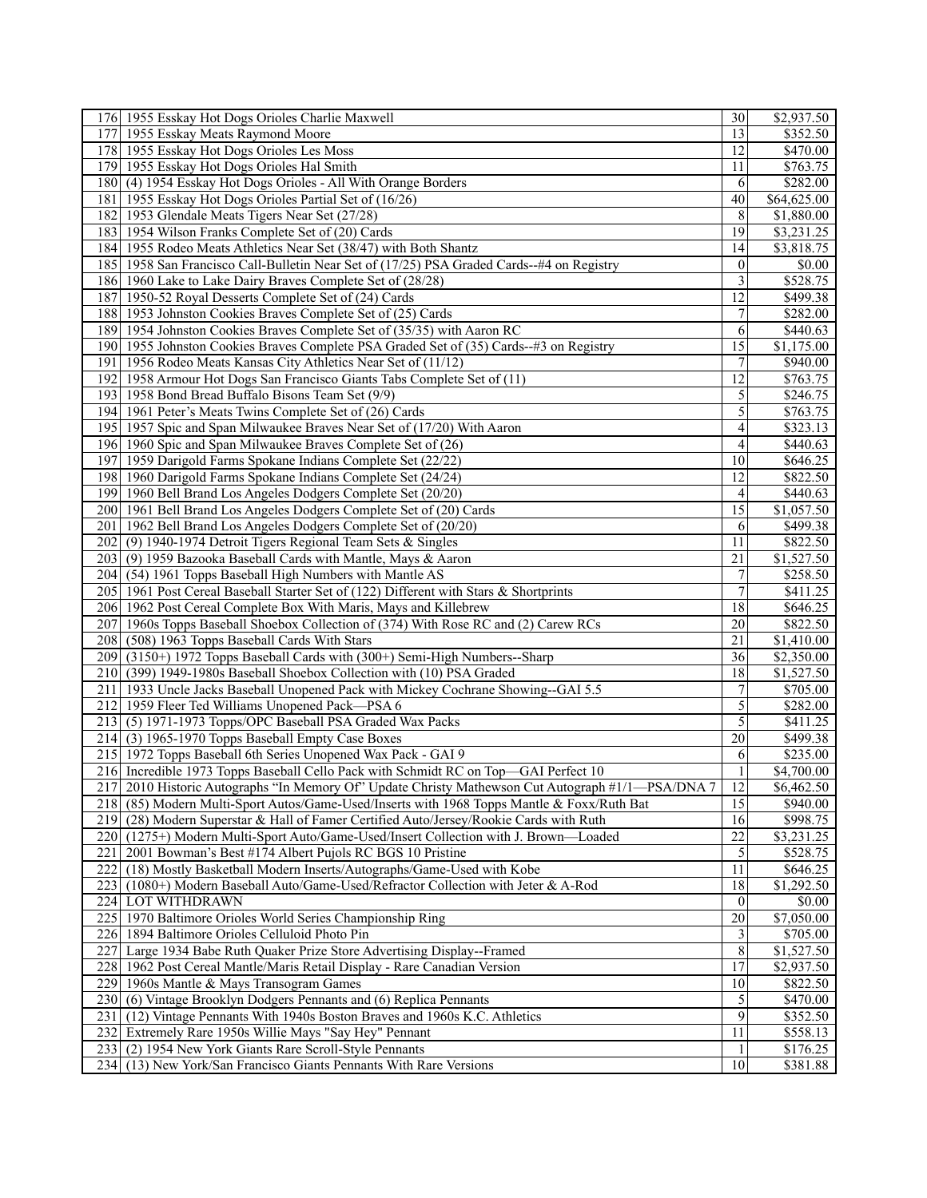| 176 1955 Esskay Hot Dogs Orioles Charlie Maxwell                                                  | 30             | \$2,937.50            |
|---------------------------------------------------------------------------------------------------|----------------|-----------------------|
| 1955 Esskay Meats Raymond Moore<br>1771                                                           | 13             | \$352.50              |
| 178 1955 Esskay Hot Dogs Orioles Les Moss                                                         | 12             | \$470.00              |
| 179 1955 Esskay Hot Dogs Orioles Hal Smith                                                        | 11             | \$763.75              |
| 180 (4) 1954 Esskay Hot Dogs Orioles - All With Orange Borders                                    | 6              | \$282.00              |
| 181 1955 Esskay Hot Dogs Orioles Partial Set of (16/26)                                           | 40             | \$64,625.00           |
| 182 1953 Glendale Meats Tigers Near Set (27/28)                                                   | 8              | \$1,880.00            |
| 183 1954 Wilson Franks Complete Set of (20) Cards                                                 | 19             | \$3,231.25            |
| 184 1955 Rodeo Meats Athletics Near Set (38/47) with Both Shantz                                  | 14             | \$3,818.75            |
| 185 1958 San Francisco Call-Bulletin Near Set of (17/25) PSA Graded Cards--#4 on Registry         | $\theta$       | \$0.00                |
|                                                                                                   | 3              | \$528.75              |
| 186 1960 Lake to Lake Dairy Braves Complete Set of (28/28)                                        | 12             |                       |
| 187 1950-52 Royal Desserts Complete Set of (24) Cards                                             |                | \$499.38              |
| 188 1953 Johnston Cookies Braves Complete Set of (25) Cards                                       | 7              | \$282.00              |
| 189 1954 Johnston Cookies Braves Complete Set of (35/35) with Aaron RC                            | 6              | \$440.63              |
| 190 1955 Johnston Cookies Braves Complete PSA Graded Set of (35) Cards-+#3 on Registry            | 15             | \$1,175.00            |
| 191   1956 Rodeo Meats Kansas City Athletics Near Set of (11/12)                                  | 7              | \$940.00              |
| 192 1958 Armour Hot Dogs San Francisco Giants Tabs Complete Set of (11)                           | 12             | \$763.75              |
| 193 1958 Bond Bread Buffalo Bisons Team Set (9/9)                                                 | 5              | \$246.75              |
| 194   1961 Peter's Meats Twins Complete Set of (26) Cards                                         | $\mathfrak{S}$ | \$763.75              |
| 195 1957 Spic and Span Milwaukee Braves Near Set of (17/20) With Aaron                            | $\overline{4}$ | \$323.13              |
| 196 1960 Spic and Span Milwaukee Braves Complete Set of (26)                                      | 4              | \$440.63              |
| 197<br>1959 Darigold Farms Spokane Indians Complete Set (22/22)                                   | 10             | \$646.25              |
| 198 1960 Darigold Farms Spokane Indians Complete Set (24/24)                                      | 12             | \$822.50              |
| 199 1960 Bell Brand Los Angeles Dodgers Complete Set (20/20)                                      | $\overline{4}$ | \$440.63              |
| 200 1961 Bell Brand Los Angeles Dodgers Complete Set of (20) Cards                                | 15             | \$1,057.50            |
| 201   1962 Bell Brand Los Angeles Dodgers Complete Set of (20/20)                                 | 6              | \$499.38              |
| 202 (9) 1940-1974 Detroit Tigers Regional Team Sets & Singles                                     | 11             | $\overline{$822.50}$  |
| 203 (9) 1959 Bazooka Baseball Cards with Mantle, Mays & Aaron                                     | 21             | \$1,527.50            |
| 204 (54) 1961 Topps Baseball High Numbers with Mantle AS                                          | $\overline{7}$ | \$258.50              |
| 205   1961 Post Cereal Baseball Starter Set of (122) Different with Stars & Shortprints           | $\overline{7}$ |                       |
|                                                                                                   | 18             | \$411.25              |
| 206 1962 Post Cereal Complete Box With Maris, Mays and Killebrew                                  |                | \$646.25              |
| 207 1960s Topps Baseball Shoebox Collection of (374) With Rose RC and (2) Carew RCs               | 20             | \$822.50              |
| 208 (508) 1963 Topps Baseball Cards With Stars                                                    | 21             | \$1,410.00            |
| 209 (3150+) 1972 Topps Baseball Cards with (300+) Semi-High Numbers--Sharp                        | 36             | \$2,350.00            |
| 210 (399) 1949-1980s Baseball Shoebox Collection with (10) PSA Graded                             | 18             | \$1,527.50            |
| 211 1933 Uncle Jacks Baseball Unopened Pack with Mickey Cochrane Showing--GAI 5.5                 | 7              | \$705.00              |
| 212 1959 Fleer Ted Williams Unopened Pack—PSA 6                                                   | 5              | \$282.00              |
| 213 (5) 1971-1973 Topps/OPC Baseball PSA Graded Wax Packs                                         | 5              | \$411.25              |
| 214 (3) 1965-1970 Topps Baseball Empty Case Boxes                                                 | 20             | \$499.38              |
| 215 1972 Topps Baseball 6th Series Unopened Wax Pack - GAI 9                                      | 6              | \$235.00              |
| 216 Incredible 1973 Topps Baseball Cello Pack with Schmidt RC on Top-GAI Perfect 10               | 1              | \$4,700.00            |
| 217 2010 Historic Autographs "In Memory Of" Update Christy Mathewson Cut Autograph #1/1—PSA/DNA 7 | 12             | \$6,462.50            |
| 218 (85) Modern Multi-Sport Autos/Game-Used/Inserts with 1968 Topps Mantle & Foxx/Ruth Bat        | 15             | \$940.00              |
| 219 (28) Modern Superstar & Hall of Famer Certified Auto/Jersey/Rookie Cards with Ruth            | 16             | \$998.75              |
| 220 (1275+) Modern Multi-Sport Auto/Game-Used/Insert Collection with J. Brown—Loaded              | 22             | \$3,231.25            |
| 221   2001 Bowman's Best #174 Albert Pujols RC BGS 10 Pristine                                    | 5              | \$528.75              |
| 222 (18) Mostly Basketball Modern Inserts/Autographs/Game-Used with Kobe                          | 11             | \$646.25              |
| 223 (1080+) Modern Baseball Auto/Game-Used/Refractor Collection with Jeter & A-Rod                | 18             | \$1,292.50            |
| 224 LOT WITHDRAWN                                                                                 | $\overline{0}$ | \$0.00                |
| 225   1970 Baltimore Orioles World Series Championship Ring                                       | 20             | \$7,050.00            |
| 226 1894 Baltimore Orioles Celluloid Photo Pin                                                    | $\overline{3}$ | \$705.00              |
| 227 Large 1934 Babe Ruth Quaker Prize Store Advertising Display--Framed                           | 8              | $\overline{1,527.50}$ |
| 1962 Post Cereal Mantle/Maris Retail Display - Rare Canadian Version<br>228                       | 17             | \$2,937.50            |
|                                                                                                   | 10             |                       |
| 229 1960s Mantle & Mays Transogram Games                                                          |                | \$822.50              |
| 230 (6) Vintage Brooklyn Dodgers Pennants and (6) Replica Pennants                                | $\sqrt{5}$     | \$470.00              |
| 231 (12) Vintage Pennants With 1940s Boston Braves and 1960s K.C. Athletics                       | 9              | \$352.50              |
| 232 Extremely Rare 1950s Willie Mays "Say Hey" Pennant                                            | 11             | \$558.13              |
| 233 (2) 1954 New York Giants Rare Scroll-Style Pennants                                           |                | \$176.25              |
| 234 (13) New York/San Francisco Giants Pennants With Rare Versions                                | 10             | \$381.88              |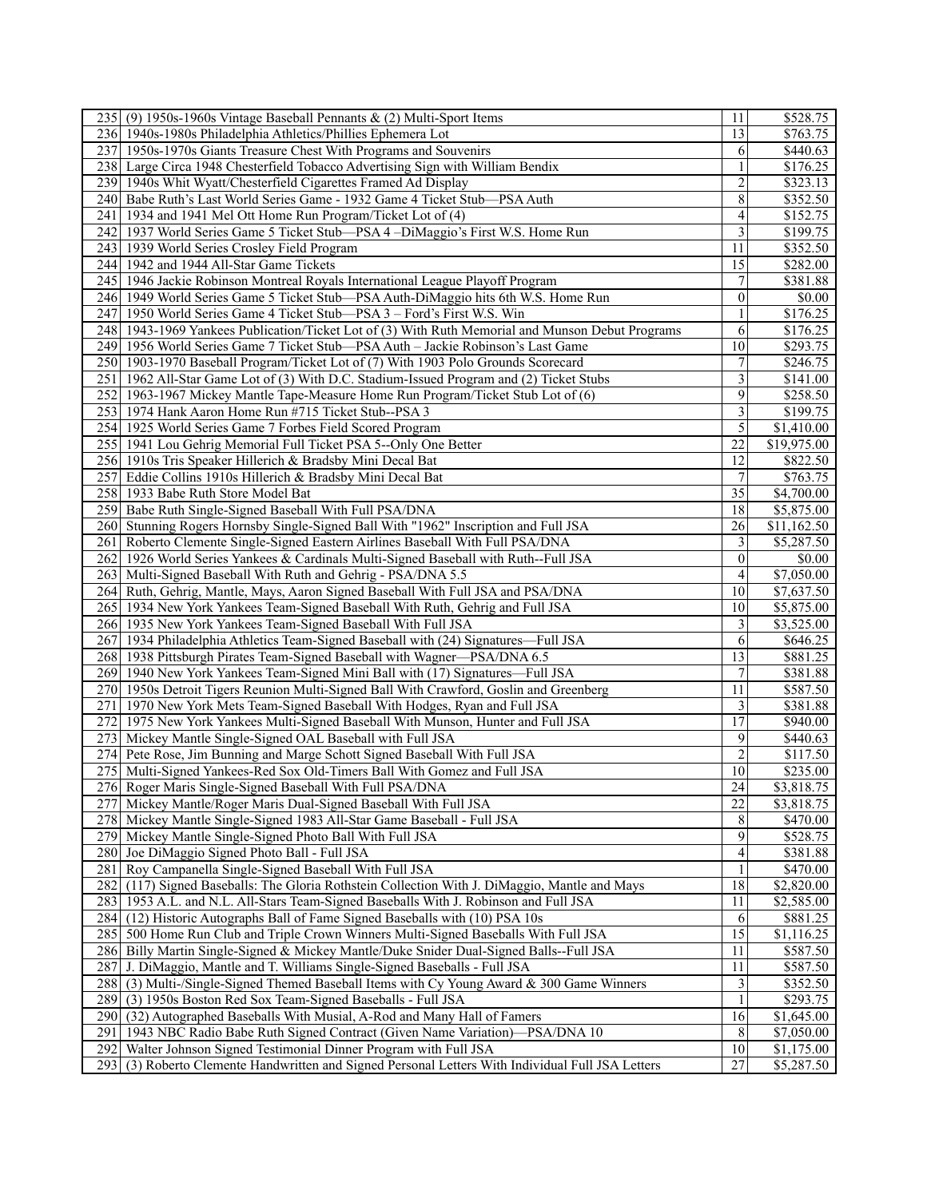| 235 (9) 1950s-1960s Vintage Baseball Pennants & (2) Multi-Sport Items                                | 11              | \$528.75                |
|------------------------------------------------------------------------------------------------------|-----------------|-------------------------|
| 236 1940s-1980s Philadelphia Athletics/Phillies Ephemera Lot                                         | 13              | \$763.75                |
| 237 1950s-1970s Giants Treasure Chest With Programs and Souvenirs                                    | 6               | \$440.63                |
| 238 Large Circa 1948 Chesterfield Tobacco Advertising Sign with William Bendix                       |                 | \$176.25                |
| 239 1940s Whit Wyatt/Chesterfield Cigarettes Framed Ad Display                                       | $\overline{c}$  | \$323.13                |
| 240 Babe Ruth's Last World Series Game - 1932 Game 4 Ticket Stub—PSA Auth                            | 8               | \$352.50                |
| 241   1934 and 1941 Mel Ott Home Run Program/Ticket Lot of (4)                                       | 4               | \$152.75                |
| 1937 World Series Game 5 Ticket Stub-PSA 4-DiMaggio's First W.S. Home Run<br>2421                    | $\overline{3}$  | \$199.75                |
| 243<br>1939 World Series Crosley Field Program                                                       | 11              | \$352.50                |
| 244 1942 and 1944 All-Star Game Tickets                                                              | 15              | \$282.00                |
| 245   1946 Jackie Robinson Montreal Royals International League Playoff Program                      | $\tau$          | \$381.88                |
| 246 1949 World Series Game 5 Ticket Stub—PSA Auth-DiMaggio hits 6th W.S. Home Run                    | $\theta$        | \$0.00                  |
| 1950 World Series Game 4 Ticket Stub-PSA 3 - Ford's First W.S. Win<br>2471                           | 1               | \$176.25                |
|                                                                                                      | 6               | \$176.25                |
| 248 1943-1969 Yankees Publication/Ticket Lot of (3) With Ruth Memorial and Munson Debut Programs     | 10              |                         |
| 249 1956 World Series Game 7 Ticket Stub—PSA Auth - Jackie Robinson's Last Game                      |                 | \$293.75                |
| 250 1903-1970 Baseball Program/Ticket Lot of (7) With 1903 Polo Grounds Scorecard                    | 7               | \$246.75                |
| 251 1962 All-Star Game Lot of (3) With D.C. Stadium-Issued Program and (2) Ticket Stubs              | 3               | \$141.00                |
| 252 1963-1967 Mickey Mantle Tape-Measure Home Run Program/Ticket Stub Lot of (6)                     | 9               | \$258.50                |
| 253 1974 Hank Aaron Home Run #715 Ticket Stub--PSA 3                                                 | 3               | \$199.75                |
| 254 1925 World Series Game 7 Forbes Field Scored Program                                             | 5               | \$1,410.00              |
| 255   1941 Lou Gehrig Memorial Full Ticket PSA 5--Only One Better                                    | 22              | $\overline{$}19,975.00$ |
| 256 1910s Tris Speaker Hillerich & Bradsby Mini Decal Bat                                            | 12              | \$822.50                |
| 257<br>Eddie Collins 1910s Hillerich & Bradsby Mini Decal Bat                                        | 7               | \$763.75                |
| 258 1933 Babe Ruth Store Model Bat                                                                   | $\overline{35}$ | \$4,700.00              |
| 259<br>Babe Ruth Single-Signed Baseball With Full PSA/DNA                                            | 18              | \$5,875.00              |
| 260 Stunning Rogers Hornsby Single-Signed Ball With "1962" Inscription and Full JSA                  | 26              | \$11,162.50             |
| 261 Roberto Clemente Single-Signed Eastern Airlines Baseball With Full PSA/DNA                       | $\overline{3}$  | \$5,287.50              |
| 1926 World Series Yankees & Cardinals Multi-Signed Baseball with Ruth--Full JSA<br>2621              | $\overline{0}$  | \$0.00                  |
| 263<br>Multi-Signed Baseball With Ruth and Gehrig - PSA/DNA 5.5                                      | 4               | \$7,050.00              |
| 264 Ruth, Gehrig, Mantle, Mays, Aaron Signed Baseball With Full JSA and PSA/DNA                      | 10              | \$7,637.50              |
| 265 1934 New York Yankees Team-Signed Baseball With Ruth, Gehrig and Full JSA                        | 10              | \$5,875.00              |
| 266 1935 New York Yankees Team-Signed Baseball With Full JSA                                         | $\overline{3}$  | \$3,525.00              |
| 1934 Philadelphia Athletics Team-Signed Baseball with (24) Signatures-Full JSA<br>2671               | 6               | \$646.25                |
| 268 1938 Pittsburgh Pirates Team-Signed Baseball with Wagner—PSA/DNA 6.5                             | 13              | \$881.25                |
| 269 1940 New York Yankees Team-Signed Mini Ball with (17) Signatures—Full JSA                        | $\tau$          | \$381.88                |
| 270 1950s Detroit Tigers Reunion Multi-Signed Ball With Crawford, Goslin and Greenberg               | 11              | \$587.50                |
| 271   1970 New York Mets Team-Signed Baseball With Hodges, Ryan and Full JSA                         | $\overline{3}$  | \$381.88                |
| 1975 New York Yankees Multi-Signed Baseball With Munson, Hunter and Full JSA<br>2721                 | 17              | \$940.00                |
| 273 Mickey Mantle Single-Signed OAL Baseball with Full JSA                                           | 9               | \$440.63                |
| 274 Pete Rose, Jim Bunning and Marge Schott Signed Baseball With Full JSA                            | 2               | \$117.50                |
| 275 Multi-Signed Yankees-Red Sox Old-Timers Ball With Gomez and Full JSA                             | 10              | \$235.00                |
| 276 Roger Maris Single-Signed Baseball With Full PSA/DNA                                             | 24              | \$3,818.75              |
| 277 Mickey Mantle/Roger Maris Dual-Signed Baseball With Full JSA                                     | 22              | \$3,818.75              |
|                                                                                                      |                 |                         |
| 278 Mickey Mantle Single-Signed 1983 All-Star Game Baseball - Full JSA                               | 8               | \$470.00                |
| 279<br>Mickey Mantle Single-Signed Photo Ball With Full JSA                                          | 9               | \$528.75                |
| 280 Joe DiMaggio Signed Photo Ball - Full JSA                                                        | $\overline{4}$  | \$381.88                |
| 281 Roy Campanella Single-Signed Baseball With Full JSA                                              | $\mathbf{1}$    | \$470.00                |
| 282 (117) Signed Baseballs: The Gloria Rothstein Collection With J. DiMaggio, Mantle and Mays        | 18              | \$2,820.00              |
| 283<br>1953 A.L. and N.L. All-Stars Team-Signed Baseballs With J. Robinson and Full JSA              | 11              | \$2,585.00              |
| 284 (12) Historic Autographs Ball of Fame Signed Baseballs with (10) PSA 10s                         | 6               | \$881.25                |
| 285 500 Home Run Club and Triple Crown Winners Multi-Signed Baseballs With Full JSA                  | 15              | \$1,116.25              |
| 286 Billy Martin Single-Signed & Mickey Mantle/Duke Snider Dual-Signed Balls--Full JSA               | 11              | \$587.50                |
| J. DiMaggio, Mantle and T. Williams Single-Signed Baseballs - Full JSA<br>287                        | 11              | \$587.50                |
| 288 (3) Multi-/Single-Signed Themed Baseball Items with Cy Young Award & 300 Game Winners            | 3               | \$352.50                |
| 289<br>(3) 1950s Boston Red Sox Team-Signed Baseballs - Full JSA                                     | $\mathbf{1}$    | \$293.75                |
| 290 (32) Autographed Baseballs With Musial, A-Rod and Many Hall of Famers                            | 16              | \$1,645.00              |
| 291 1943 NBC Radio Babe Ruth Signed Contract (Given Name Variation)—PSA/DNA 10                       | 8               | \$7,050.00              |
| 292<br>Walter Johnson Signed Testimonial Dinner Program with Full JSA                                | 10              | \$1,175.00              |
| 293<br>(3) Roberto Clemente Handwritten and Signed Personal Letters With Individual Full JSA Letters | $27\,$          | \$5,287.50              |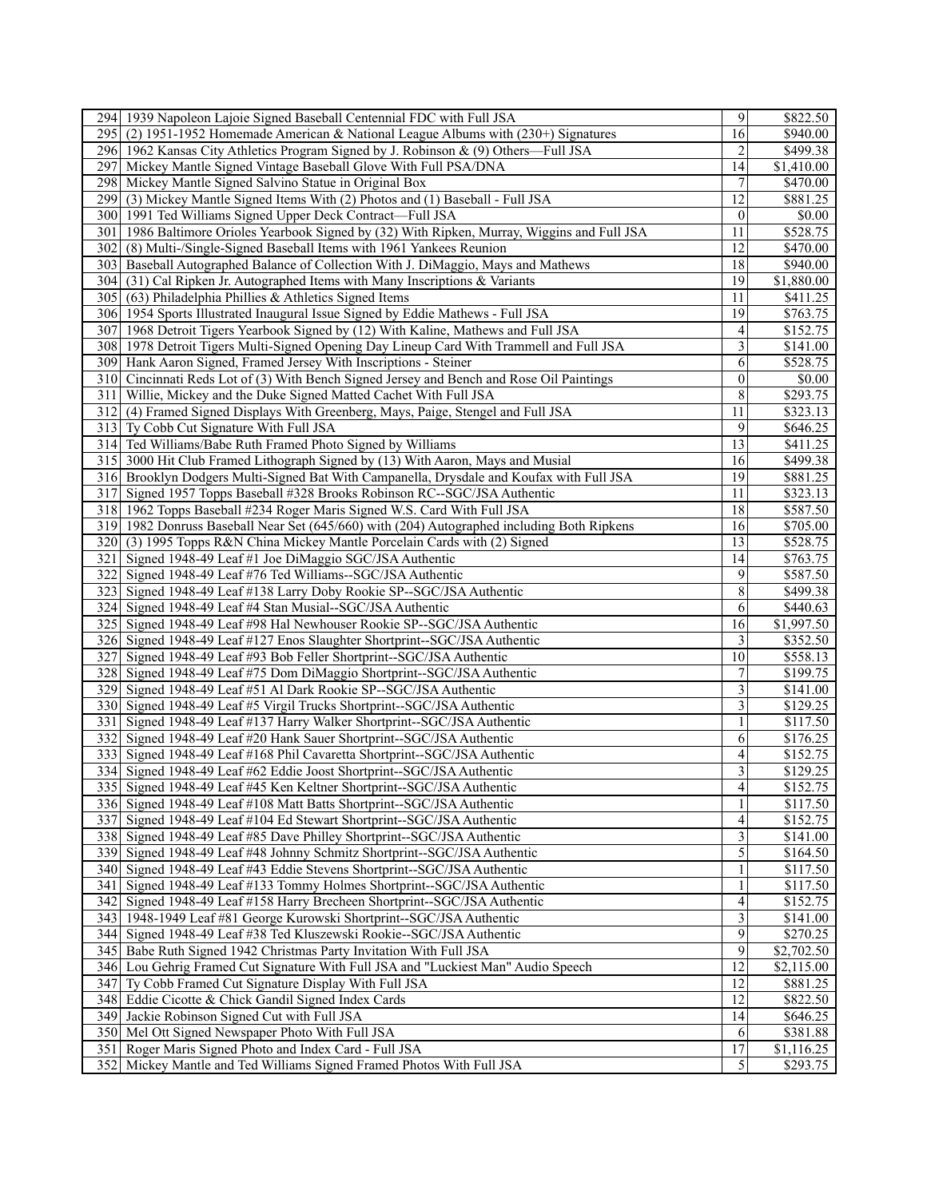| 294 1939 Napoleon Lajoie Signed Baseball Centennial FDC with Full JSA                                        | 9                       | \$822.50              |
|--------------------------------------------------------------------------------------------------------------|-------------------------|-----------------------|
| 295 (2) 1951-1952 Homemade American & National League Albums with (230+) Signatures                          | 16                      | \$940.00              |
| 296 1962 Kansas City Athletics Program Signed by J. Robinson & (9) Others—Full JSA                           | 2                       | \$499.38              |
| 2971<br>Mickey Mantle Signed Vintage Baseball Glove With Full PSA/DNA                                        | 14                      | \$1,410.00            |
| 298 Mickey Mantle Signed Salvino Statue in Original Box                                                      | 7                       | \$470.00              |
| (3) Mickey Mantle Signed Items With (2) Photos and (1) Baseball - Full JSA<br>299                            | 12                      | \$881.25              |
| 300 1991 Ted Williams Signed Upper Deck Contract—Full JSA                                                    | $\theta$                | \$0.00                |
| 301 <sup> </sup><br>1986 Baltimore Orioles Yearbook Signed by (32) With Ripken, Murray, Wiggins and Full JSA | 11                      | \$528.75              |
| 302<br>(8) Multi-/Single-Signed Baseball Items with 1961 Yankees Reunion                                     | 12                      | \$470.00              |
| 303 Baseball Autographed Balance of Collection With J. DiMaggio, Mays and Mathews                            | 18                      | \$940.00              |
| 304 (31) Cal Ripken Jr. Autographed Items with Many Inscriptions & Variants                                  | 19                      | \$1,880.00            |
| $\overline{305}$ (63) Philadelphia Phillies & Athletics Signed Items                                         | 11                      | \$411.25              |
| 306 1954 Sports Illustrated Inaugural Issue Signed by Eddie Mathews - Full JSA                               | 19                      | \$763.75              |
| 307 1968 Detroit Tigers Yearbook Signed by (12) With Kaline, Mathews and Full JSA                            | 4                       | \$152.75              |
|                                                                                                              | $\overline{\mathbf{3}}$ |                       |
| 308 1978 Detroit Tigers Multi-Signed Opening Day Lineup Card With Trammell and Full JSA                      |                         | \$141.00              |
| 309 Hank Aaron Signed, Framed Jersey With Inscriptions - Steiner                                             | 6                       | \$528.75              |
| 310 Cincinnati Reds Lot of (3) With Bench Signed Jersey and Bench and Rose Oil Paintings                     | $\mathbf{0}$            | \$0.00                |
| 311 Willie, Mickey and the Duke Signed Matted Cachet With Full JSA                                           | 8                       | \$293.75              |
| 312 (4) Framed Signed Displays With Greenberg, Mays, Paige, Stengel and Full JSA                             | 11                      | \$323.13              |
| 313 Ty Cobb Cut Signature With Full JSA                                                                      | 9                       | \$646.25              |
| 314 Ted Williams/Babe Ruth Framed Photo Signed by Williams                                                   | 13                      | \$411.25              |
| 315 3000 Hit Club Framed Lithograph Signed by (13) With Aaron, Mays and Musial                               | 16                      | \$499.38              |
| 316 Brooklyn Dodgers Multi-Signed Bat With Campanella, Drysdale and Koufax with Full JSA                     | 19                      | \$881.25              |
| 317 Signed 1957 Topps Baseball #328 Brooks Robinson RC--SGC/JSA Authentic                                    | 11                      | \$323.13              |
| 318 1962 Topps Baseball #234 Roger Maris Signed W.S. Card With Full JSA                                      | 18                      | \$587.50              |
| 319 1982 Donruss Baseball Near Set (645/660) with (204) Autographed including Both Ripkens                   | 16                      | \$705.00              |
| 320 (3) 1995 Topps R&N China Mickey Mantle Porcelain Cards with (2) Signed                                   | 13                      | \$528.75              |
| 321 Signed 1948-49 Leaf #1 Joe DiMaggio SGC/JSA Authentic                                                    | 14                      | \$763.75              |
| 322 Signed 1948-49 Leaf #76 Ted Williams--SGC/JSA Authentic                                                  | 9                       | \$587.50              |
| 323 Signed 1948-49 Leaf #138 Larry Doby Rookie SP--SGC/JSA Authentic                                         | 8                       | \$499.38              |
| 324 Signed 1948-49 Leaf #4 Stan Musial--SGC/JSA Authentic                                                    | 6                       | \$440.63              |
| 325 Signed 1948-49 Leaf #98 Hal Newhouser Rookie SP--SGC/JSA Authentic                                       | $\overline{16}$         | \$1,997.50            |
| 326 Signed 1948-49 Leaf #127 Enos Slaughter Shortprint--SGC/JSA Authentic                                    | 3                       | \$352.50              |
| Signed 1948-49 Leaf #93 Bob Feller Shortprint--SGC/JSA Authentic<br>327                                      | 10                      | \$558.13              |
| 328 Signed 1948-49 Leaf #75 Dom DiMaggio Shortprint--SGC/JSA Authentic                                       | 7                       | \$199.75              |
| 329 Signed 1948-49 Leaf #51 Al Dark Rookie SP--SGC/JSA Authentic                                             | 3                       | \$141.00              |
| 330 Signed 1948-49 Leaf #5 Virgil Trucks Shortprint--SGC/JSA Authentic                                       | $\overline{\mathbf{3}}$ | \$129.25              |
| 331 Signed 1948-49 Leaf #137 Harry Walker Shortprint-SGC/JSA Authentic                                       |                         | \$117.50              |
| 332 Signed 1948-49 Leaf #20 Hank Sauer Shortprint-SGC/JSA Authentic                                          | 6                       | \$176.25              |
| 333 Signed 1948-49 Leaf #168 Phil Cavaretta Shortprint-SGC/JSA Authentic                                     | 4                       | \$152.75              |
| 334 Signed 1948-49 Leaf #62 Eddie Joost Shortprint-SGC/JSA Authentic                                         | $\overline{\mathbf{3}}$ | \$129.25              |
| 335 Signed 1948-49 Leaf #45 Ken Keltner Shortprint--SGC/JSA Authentic                                        | $\overline{4}$          | \$152.75              |
| 336 Signed 1948-49 Leaf #108 Matt Batts Shortprint-SGC/JSA Authentic                                         | $\mathbf{1}$            | \$117.50              |
| 337 Signed 1948-49 Leaf #104 Ed Stewart Shortprint-SGC/JSA Authentic                                         | 4                       | \$152.75              |
| 338 Signed 1948-49 Leaf #85 Dave Philley Shortprint-SGC/JSA Authentic                                        | $\overline{\mathbf{3}}$ |                       |
|                                                                                                              |                         | \$141.00              |
| 339 Signed 1948-49 Leaf #48 Johnny Schmitz Shortprint-SGC/JSA Authentic                                      | 5                       | \$164.50              |
| 340 Signed 1948-49 Leaf #43 Eddie Stevens Shortprint--SGC/JSA Authentic                                      | $\mathbf{1}$            | \$117.50              |
| 341 Signed 1948-49 Leaf #133 Tommy Holmes Shortprint-SGC/JSA Authentic                                       | $\mathbf{1}$            | \$117.50              |
| 342 Signed 1948-49 Leaf #158 Harry Brecheen Shortprint-SGC/JSA Authentic                                     | 4                       | \$152.75              |
| 343   1948-1949 Leaf #81 George Kurowski Shortprint--SGC/JSA Authentic                                       | $\overline{\mathbf{3}}$ | \$141.00              |
| 344 Signed 1948-49 Leaf #38 Ted Kluszewski Rookie--SGC/JSA Authentic                                         | 9                       | \$270.25              |
| 345 Babe Ruth Signed 1942 Christmas Party Invitation With Full JSA                                           | $\overline{9}$          | \$2,702.50            |
| 346 Lou Gehrig Framed Cut Signature With Full JSA and "Luckiest Man" Audio Speech                            | 12                      | \$2,115.00            |
| 347 Ty Cobb Framed Cut Signature Display With Full JSA                                                       | 12                      | \$881.25              |
| 348 Eddie Cicotte & Chick Gandil Signed Index Cards                                                          | 12                      | \$822.50              |
| 349 Jackie Robinson Signed Cut with Full JSA                                                                 | 14                      | \$646.25              |
| 350 Mel Ott Signed Newspaper Photo With Full JSA                                                             | 6                       | \$381.88              |
| 351 Roger Maris Signed Photo and Index Card - Full JSA                                                       |                         | $\overline{1,}116.25$ |
| 352 Mickey Mantle and Ted Williams Signed Framed Photos With Full JSA                                        | $\overline{17}$<br>5    | \$293.75              |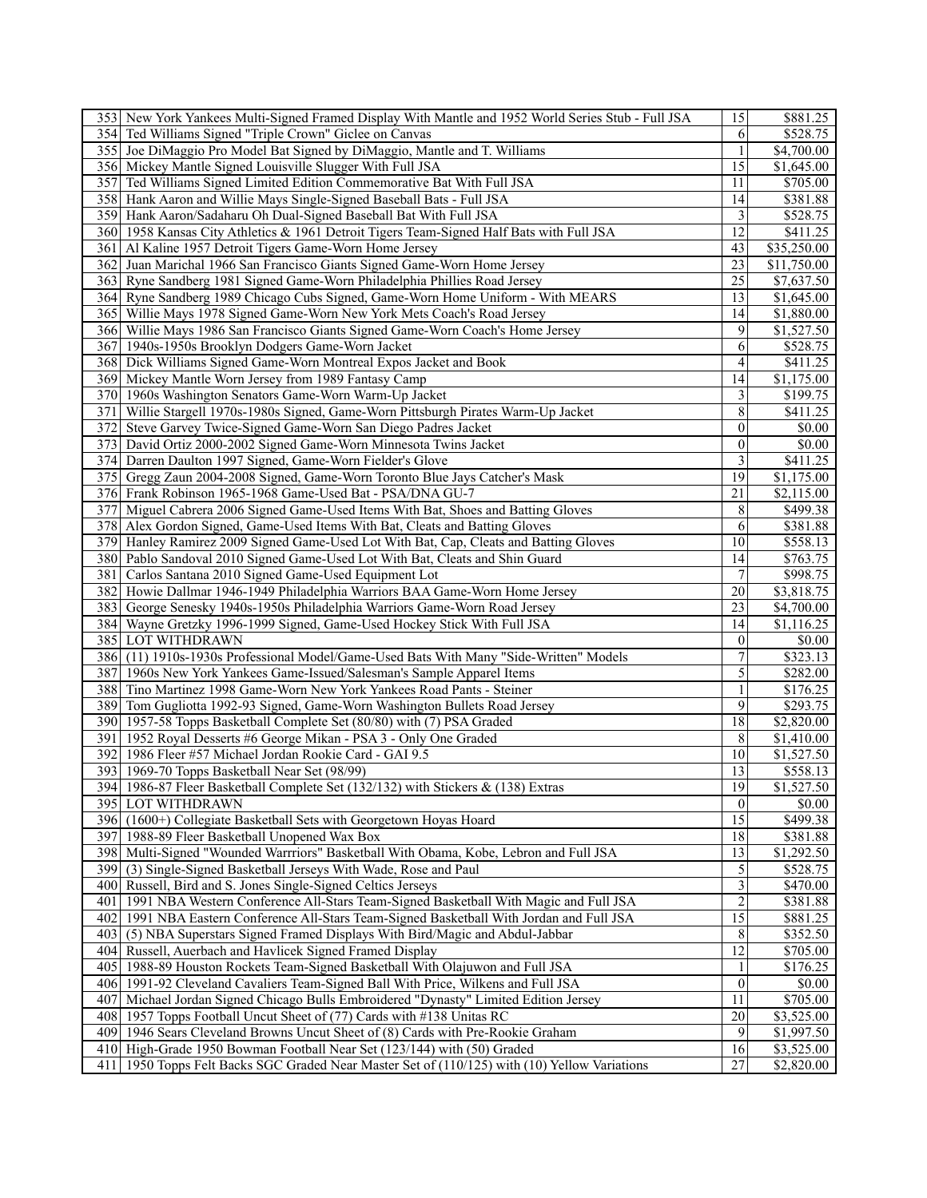| 353 New York Yankees Multi-Signed Framed Display With Mantle and 1952 World Series Stub - Full JSA                                                     | 15                             | \$881.25                            |
|--------------------------------------------------------------------------------------------------------------------------------------------------------|--------------------------------|-------------------------------------|
| 354 Ted Williams Signed "Triple Crown" Giclee on Canvas                                                                                                | 6                              | \$528.75                            |
| 355 Joe DiMaggio Pro Model Bat Signed by DiMaggio, Mantle and T. Williams                                                                              | $\mathbf{1}$                   | \$4,700.00                          |
| 356 Mickey Mantle Signed Louisville Slugger With Full JSA                                                                                              | 15                             | \$1,645.00                          |
| 357 Ted Williams Signed Limited Edition Commemorative Bat With Full JSA                                                                                | 11                             | \$705.00                            |
| 358 Hank Aaron and Willie Mays Single-Signed Baseball Bats - Full JSA                                                                                  | 14                             | \$381.88                            |
| 359 Hank Aaron/Sadaharu Oh Dual-Signed Baseball Bat With Full JSA                                                                                      | $\overline{3}$                 | \$528.75                            |
| 360 1958 Kansas City Athletics & 1961 Detroit Tigers Team-Signed Half Bats with Full JSA                                                               | 12                             | \$411.25                            |
| 361 Al Kaline 1957 Detroit Tigers Game-Worn Home Jersey                                                                                                | 43                             | \$35,250.00                         |
| 362 Juan Marichal 1966 San Francisco Giants Signed Game-Worn Home Jersey                                                                               | 23                             | \$11,750.00                         |
| 363 Ryne Sandberg 1981 Signed Game-Worn Philadelphia Phillies Road Jersey                                                                              | $\overline{25}$                | \$7,637.50                          |
| 364 Ryne Sandberg 1989 Chicago Cubs Signed, Game-Worn Home Uniform - With MEARS                                                                        | 13                             | \$1,645.00                          |
| 365   Willie Mays 1978 Signed Game-Worn New York Mets Coach's Road Jersey                                                                              | 14                             | \$1,880.00                          |
| 366 Willie Mays 1986 San Francisco Giants Signed Game-Worn Coach's Home Jersey                                                                         | 9                              | \$1,527.50                          |
| 367 1940s-1950s Brooklyn Dodgers Game-Worn Jacket                                                                                                      | 6                              | \$528.75                            |
| 368 Dick Williams Signed Game-Worn Montreal Expos Jacket and Book                                                                                      | $\overline{4}$                 | \$411.25                            |
| 369 Mickey Mantle Worn Jersey from 1989 Fantasy Camp                                                                                                   | 14                             | \$1,175.00                          |
|                                                                                                                                                        | $\overline{3}$                 | \$199.75                            |
| 370 1960s Washington Senators Game-Worn Warm-Up Jacket<br>371 Willie Stargell 1970s-1980s Signed, Game-Worn Pittsburgh Pirates Warm-Up Jacket          | 8                              |                                     |
|                                                                                                                                                        | $\Omega$                       | \$411.25                            |
| 372 Steve Garvey Twice-Signed Game-Worn San Diego Padres Jacket                                                                                        |                                | \$0.00                              |
| 373 David Ortiz 2000-2002 Signed Game-Worn Minnesota Twins Jacket                                                                                      | $\mathbf{0}$<br>$\overline{3}$ | \$0.00                              |
| 374 Darren Daulton 1997 Signed, Game-Worn Fielder's Glove                                                                                              | 19                             | \$411.25                            |
| 375 Gregg Zaun 2004-2008 Signed, Game-Worn Toronto Blue Jays Catcher's Mask                                                                            |                                | \$1,175.00                          |
| 376 Frank Robinson 1965-1968 Game-Used Bat - PSA/DNA GU-7                                                                                              | 21                             | \$2,115.00                          |
| 377 Miguel Cabrera 2006 Signed Game-Used Items With Bat, Shoes and Batting Gloves                                                                      | 8                              | \$499.38                            |
| 378 Alex Gordon Signed, Game-Used Items With Bat, Cleats and Batting Gloves                                                                            | 6                              | \$381.88                            |
| 379 Hanley Ramirez 2009 Signed Game-Used Lot With Bat, Cap, Cleats and Batting Gloves                                                                  | $\overline{10}$                | \$558.13                            |
| 380 Pablo Sandoval 2010 Signed Game-Used Lot With Bat, Cleats and Shin Guard                                                                           | 14                             | \$763.75                            |
| 381 Carlos Santana 2010 Signed Game-Used Equipment Lot                                                                                                 | $\overline{7}$                 | \$998.75                            |
| 382 Howie Dallmar 1946-1949 Philadelphia Warriors BAA Game-Worn Home Jersey                                                                            | 20<br>23                       | \$3,818.75                          |
| 383 George Senesky 1940s-1950s Philadelphia Warriors Game-Worn Road Jersey<br>384 Wayne Gretzky 1996-1999 Signed, Game-Used Hockey Stick With Full JSA | 14                             | \$4,700.00<br>\$1,116.25            |
| 385 LOT WITHDRAWN                                                                                                                                      | $\overline{0}$                 | \$0.00                              |
| 386 (11) 1910s-1930s Professional Model/Game-Used Bats With Many "Side-Written" Models                                                                 | 7                              | \$323.13                            |
| 387 1960s New York Yankees Game-Issued/Salesman's Sample Apparel Items                                                                                 | $\sqrt{5}$                     | \$282.00                            |
| 388 Tino Martinez 1998 Game-Worn New York Yankees Road Pants - Steiner                                                                                 | $\mathbf{1}$                   | \$176.25                            |
| 389 Tom Gugliotta 1992-93 Signed, Game-Worn Washington Bullets Road Jersey                                                                             | 9                              | \$293.75                            |
| 390 1957-58 Topps Basketball Complete Set (80/80) with (7) PSA Graded                                                                                  | 18                             | $\sqrt{$2,820.00}$                  |
| 391   1952 Royal Desserts #6 George Mikan - PSA 3 - Only One Graded                                                                                    | 8                              |                                     |
| 392 1986 Fleer #57 Michael Jordan Rookie Card - GAI 9.5                                                                                                | 10                             | \$1,410.00<br>$\overline{1,527.50}$ |
| 393 1969-70 Topps Basketball Near Set (98/99)                                                                                                          | 13                             | \$558.13                            |
| 394 1986-87 Fleer Basketball Complete Set (132/132) with Stickers & (138) Extras                                                                       | 19                             | \$1,527.50                          |
| <b>395 LOT WITHDRAWN</b>                                                                                                                               | $\overline{0}$                 | \$0.00                              |
| 396 (1600+) Collegiate Basketball Sets with Georgetown Hoyas Hoard                                                                                     | 15                             | \$499.38                            |
| 397 1988-89 Fleer Basketball Unopened Wax Box                                                                                                          | 18                             | \$381.88                            |
| 398 Multi-Signed "Wounded Warrriors" Basketball With Obama, Kobe, Lebron and Full JSA                                                                  | 13                             | \$1,292.50                          |
| 399 (3) Single-Signed Basketball Jerseys With Wade, Rose and Paul                                                                                      | $\sqrt{5}$                     | \$528.75                            |
| 400 Russell, Bird and S. Jones Single-Signed Celtics Jerseys                                                                                           | $\overline{\mathbf{3}}$        | \$470.00                            |
| 401 1991 NBA Western Conference All-Stars Team-Signed Basketball With Magic and Full JSA                                                               | $\boldsymbol{2}$               | \$381.88                            |
| 402 1991 NBA Eastern Conference All-Stars Team-Signed Basketball With Jordan and Full JSA                                                              | $\overline{15}$                | \$881.25                            |
| (5) NBA Superstars Signed Framed Displays With Bird/Magic and Abdul-Jabbar<br>4031                                                                     | 8                              | \$352.50                            |
| 404 Russell, Auerbach and Havlicek Signed Framed Display                                                                                               | $\overline{12}$                | $\overline{$705.00}$                |
| 405   1988-89 Houston Rockets Team-Signed Basketball With Olajuwon and Full JSA                                                                        | 1                              | \$176.25                            |
| 406 1991-92 Cleveland Cavaliers Team-Signed Ball With Price, Wilkens and Full JSA                                                                      | $\overline{0}$                 | \$0.00                              |
| 407 Michael Jordan Signed Chicago Bulls Embroidered "Dynasty" Limited Edition Jersey                                                                   | 11                             | \$705.00                            |
| 408 1957 Topps Football Uncut Sheet of (77) Cards with #138 Unitas RC                                                                                  | 20                             | \$3,525.00                          |
| 409 1946 Sears Cleveland Browns Uncut Sheet of (8) Cards with Pre-Rookie Graham                                                                        | 9                              | \$1,997.50                          |
| 410 High-Grade 1950 Bowman Football Near Set (123/144) with (50) Graded                                                                                | 16                             | \$3,525.00                          |
| 411 1950 Topps Felt Backs SGC Graded Near Master Set of (110/125) with (10) Yellow Variations                                                          | 27                             | \$2,820.00                          |
|                                                                                                                                                        |                                |                                     |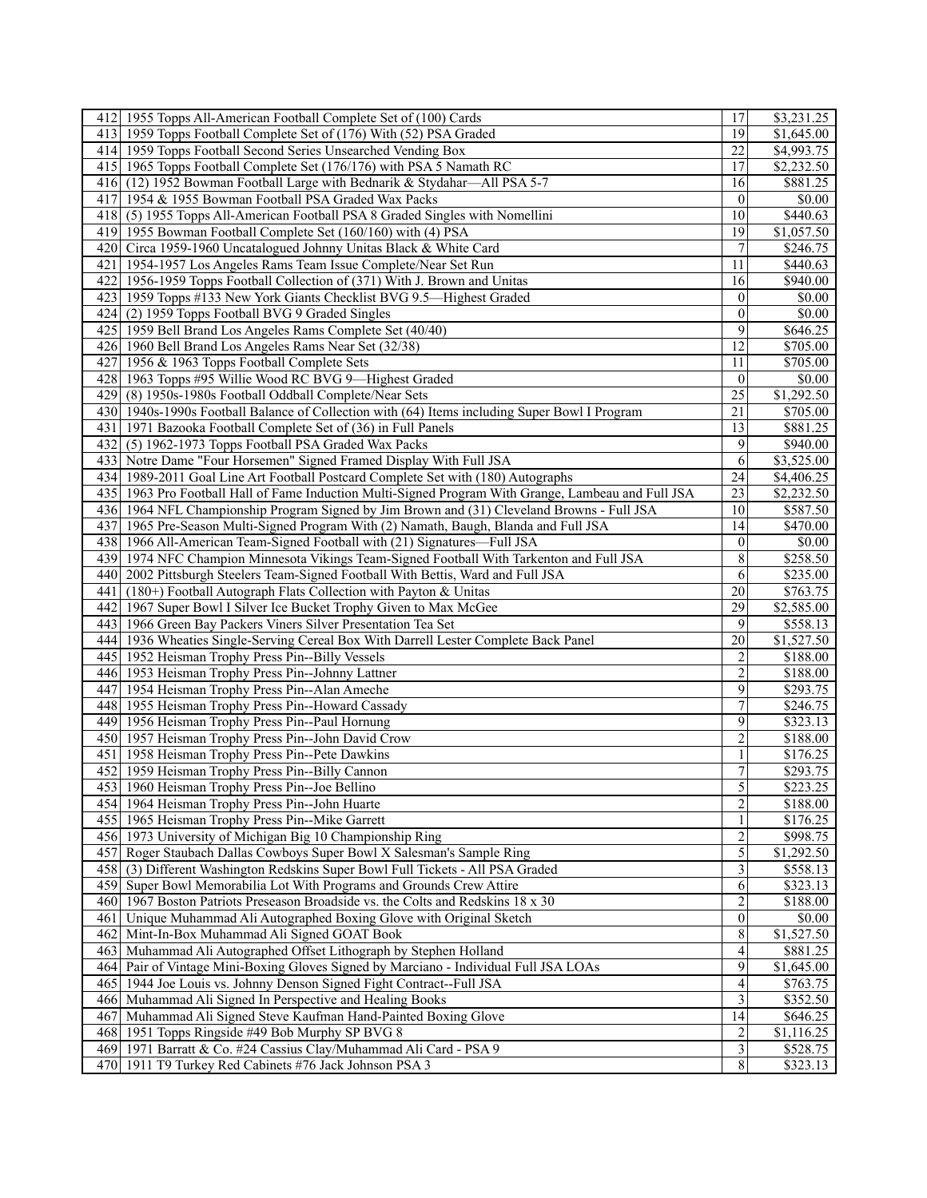| 412 1955 Topps All-American Football Complete Set of (100) Cards                                                            | 17                      | \$3,231.25             |
|-----------------------------------------------------------------------------------------------------------------------------|-------------------------|------------------------|
| 413 1959 Topps Football Complete Set of (176) With (52) PSA Graded                                                          | 19                      | \$1,645.00             |
| 414 1959 Topps Football Second Series Unsearched Vending Box                                                                | 22                      | $\overline{84,993.75}$ |
| 415 1965 Topps Football Complete Set (176/176) with PSA 5 Namath RC                                                         | 17                      | \$2,232.50             |
| 416 (12) 1952 Bowman Football Large with Bednarik & Stydahar—All PSA 5-7                                                    | 16                      | \$881.25               |
| 417 1954 & 1955 Bowman Football PSA Graded Wax Packs                                                                        | $\overline{0}$          | \$0.00                 |
| 418 (5) 1955 Topps All-American Football PSA 8 Graded Singles with Nomellini                                                | 10                      | \$440.63               |
| 419 1955 Bowman Football Complete Set (160/160) with (4) PSA                                                                | 19                      | \$1,057.50             |
| 420 Circa 1959-1960 Uncatalogued Johnny Unitas Black & White Card                                                           |                         | \$246.75               |
| 421   1954-1957 Los Angeles Rams Team Issue Complete/Near Set Run                                                           | 11                      | \$440.63               |
| 422 1956-1959 Topps Football Collection of (371) With J. Brown and Unitas                                                   | 16                      | \$940.00               |
| 423   1959 Topps #133 New York Giants Checklist BVG 9.5—Highest Graded                                                      | $\theta$                | \$0.00                 |
| 424 (2) 1959 Topps Football BVG 9 Graded Singles                                                                            | $\overline{0}$          | \$0.00                 |
| 425 1959 Bell Brand Los Angeles Rams Complete Set (40/40)                                                                   | 9                       | \$646.25               |
| 426 1960 Bell Brand Los Angeles Rams Near Set (32/38)                                                                       | 12                      | \$705.00               |
|                                                                                                                             | 11                      | \$705.00               |
| 427 1956 & 1963 Topps Football Complete Sets                                                                                | $\mathbf{0}$            |                        |
| 428 1963 Topps #95 Willie Wood RC BVG 9—Highest Graded                                                                      |                         | \$0.00                 |
| 429 (8) 1950s-1980s Football Oddball Complete/Near Sets                                                                     | $\overline{25}$         | \$1,292.50             |
| 430 1940s-1990s Football Balance of Collection with (64) Items including Super Bowl I Program                               | 21                      | $\overline{$705.00}$   |
| 431   1971 Bazooka Football Complete Set of (36) in Full Panels                                                             | 13                      | \$881.25               |
| 432 (5) 1962-1973 Topps Football PSA Graded Wax Packs                                                                       | 9                       | \$940.00               |
| 433 Notre Dame "Four Horsemen" Signed Framed Display With Full JSA                                                          | 6                       | \$3,525.00             |
| 434   1989-2011 Goal Line Art Football Postcard Complete Set with (180) Autographs                                          | 24                      | \$4,406.25             |
| 435 1963 Pro Football Hall of Fame Induction Multi-Signed Program With Grange, Lambeau and Full JSA                         | 23                      | \$2,232.50             |
| 436 1964 NFL Championship Program Signed by Jim Brown and (31) Cleveland Browns - Full JSA                                  | 10                      | \$587.50               |
| 437 1965 Pre-Season Multi-Signed Program With (2) Namath, Baugh, Blanda and Full JSA                                        | 14                      | \$470.00               |
| 438 1966 All-American Team-Signed Football with (21) Signatures—Full JSA                                                    | $\mathbf{0}$            | \$0.00                 |
| 439 1974 NFC Champion Minnesota Vikings Team-Signed Football With Tarkenton and Full JSA                                    | 8                       | \$258.50               |
| 2002 Pittsburgh Steelers Team-Signed Football With Bettis, Ward and Full JSA<br>4401                                        | 6                       | \$235.00               |
| (180+) Football Autograph Flats Collection with Payton & Unitas<br>4411                                                     | 20                      | \$763.75               |
| 442 I<br>1967 Super Bowl I Silver Ice Bucket Trophy Given to Max McGee                                                      | 29                      | \$2,585.00             |
| 443   1966 Green Bay Packers Viners Silver Presentation Tea Set                                                             | 9                       | \$558.13               |
| 444 1936 Wheaties Single-Serving Cereal Box With Darrell Lester Complete Back Panel                                         | 20                      | $\overline{1,527.50}$  |
| 445   1952 Heisman Trophy Press Pin--Billy Vessels                                                                          | 2                       | \$188.00               |
| 446 1953 Heisman Trophy Press Pin--Johnny Lattner                                                                           | $\overline{c}$          | \$188.00               |
| 447 1954 Heisman Trophy Press Pin--Alan Ameche                                                                              | 9                       | \$293.75               |
| 448   1955 Heisman Trophy Press Pin--Howard Cassady                                                                         | 7                       | \$246.75               |
| 449 1956 Heisman Trophy Press Pin--Paul Hornung                                                                             | 9                       | \$323.13               |
| 450 1957 Heisman Trophy Press Pin--John David Crow                                                                          | $\overline{c}$          | \$188.00               |
| 451 I<br>1958 Heisman Trophy Press Pin--Pete Dawkins                                                                        | $\mathbf{1}$            | \$176.25               |
| 452 1959 Heisman Trophy Press Pin--Billy Cannon                                                                             | $\overline{7}$          | $\overline{$}293.75$   |
| 453 1960 Heisman Trophy Press Pin--Joe Bellino                                                                              | 5                       | \$223.25               |
| 454   1964 Heisman Trophy Press Pin--John Huarte                                                                            | $\overline{2}$          | \$188.00               |
| 455 1965 Heisman Trophy Press Pin--Mike Garrett                                                                             | 1                       | \$176.25               |
| 456 1973 University of Michigan Big 10 Championship Ring                                                                    | $\boldsymbol{2}$        | \$998.75               |
| 457 Roger Staubach Dallas Cowboys Super Bowl X Salesman's Sample Ring                                                       | 5                       | \$1,292.50             |
| 458 (3) Different Washington Redskins Super Bowl Full Tickets - All PSA Graded                                              | $\overline{\mathbf{3}}$ | \$558.13               |
| 459 Super Bowl Memorabilia Lot With Programs and Grounds Crew Attire                                                        | 6                       | \$323.13               |
| 460 1967 Boston Patriots Preseason Broadside vs. the Colts and Redskins 18 x 30                                             | $\overline{c}$          | \$188.00               |
| 461 Unique Muhammad Ali Autographed Boxing Glove with Original Sketch                                                       | $\overline{0}$          | \$0.00                 |
| 462 Mint-In-Box Muhammad Ali Signed GOAT Book                                                                               | $\,8\,$                 | \$1,527.50             |
| 463 Muhammad Ali Autographed Offset Lithograph by Stephen Holland                                                           |                         | \$881.25               |
|                                                                                                                             |                         |                        |
|                                                                                                                             | $\overline{4}$          |                        |
| 464 Pair of Vintage Mini-Boxing Gloves Signed by Marciano - Individual Full JSA LOAs                                        | $\overline{9}$          | $\overline{1,645.00}$  |
| 465   1944 Joe Louis vs. Johnny Denson Signed Fight Contract--Full JSA                                                      | $\overline{4}$          | \$763.75               |
| 466 Muhammad Ali Signed In Perspective and Healing Books                                                                    | $\mathfrak{Z}$          | \$352.50               |
| Muhammad Ali Signed Steve Kaufman Hand-Painted Boxing Glove<br>4671                                                         | 14                      | \$646.25               |
| 468 1951 Topps Ringside #49 Bob Murphy SP BVG 8                                                                             | $\overline{2}$          | \$1,116.25             |
| 469 1971 Barratt & Co. #24 Cassius Clay/Muhammad Ali Card - PSA 9<br>470 1911 T9 Turkey Red Cabinets #76 Jack Johnson PSA 3 | $\mathfrak{Z}$<br>8     | \$528.75<br>\$323.13   |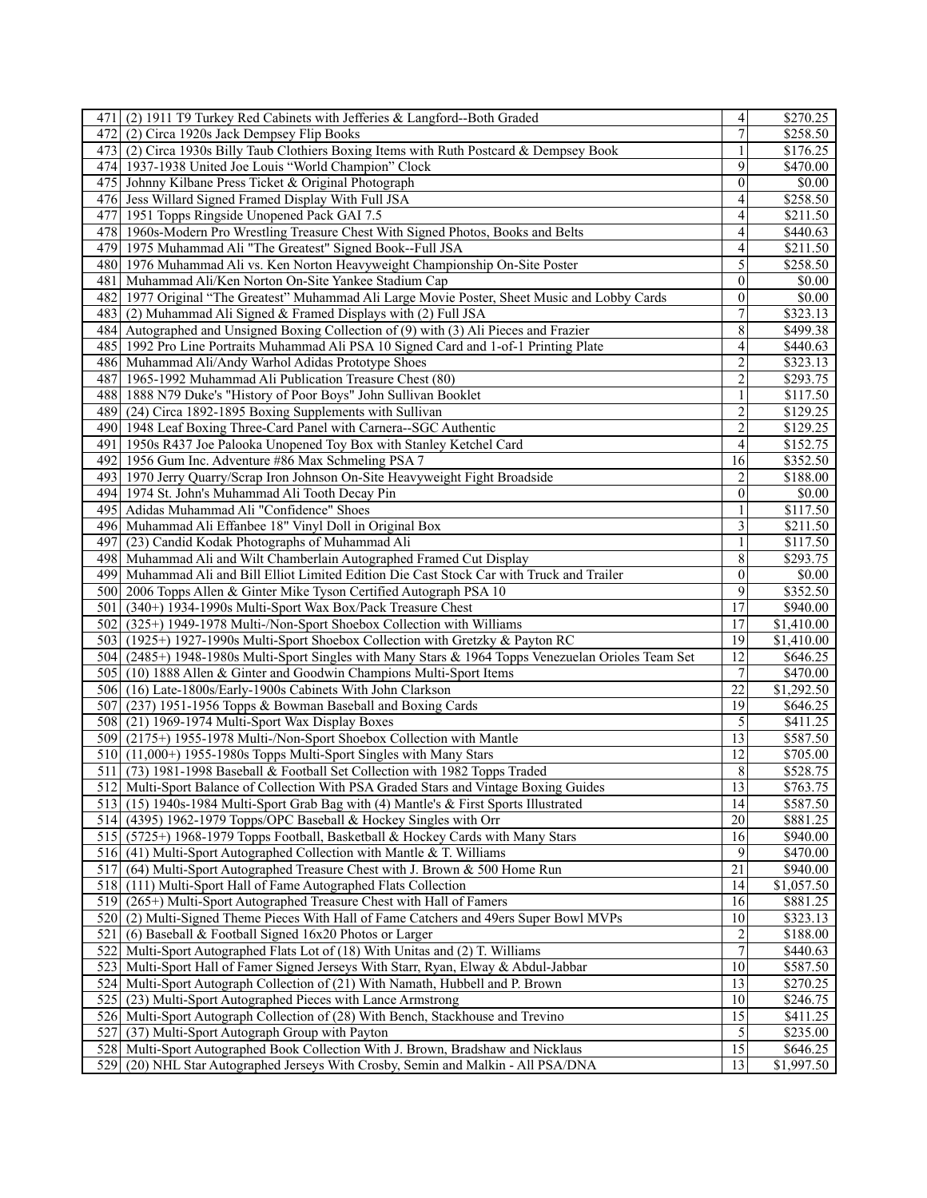| 471 (2) 1911 T9 Turkey Red Cabinets with Jefferies & Langford--Both Graded                                                                                                  | $\overline{\mathbf{r}}$  | \$270.25                          |
|-----------------------------------------------------------------------------------------------------------------------------------------------------------------------------|--------------------------|-----------------------------------|
| 472 I<br>(2) Circa 1920s Jack Dempsey Flip Books                                                                                                                            | $\overline{7}$           | \$258.50                          |
| 473 (2) Circa 1930s Billy Taub Clothiers Boxing Items with Ruth Postcard & Dempsey Book                                                                                     | 1                        | \$176.25                          |
| 474 1937-1938 United Joe Louis "World Champion" Clock                                                                                                                       | 9                        | \$470.00                          |
| 475 Johnny Kilbane Press Ticket & Original Photograph                                                                                                                       | $\mathbf{0}$             | \$0.00                            |
| 476 Jess Willard Signed Framed Display With Full JSA                                                                                                                        | 4                        | \$258.50                          |
| 477<br>1951 Topps Ringside Unopened Pack GAI 7.5                                                                                                                            | $\overline{4}$           | $\overline{$211.50}$              |
| 1960s-Modern Pro Wrestling Treasure Chest With Signed Photos, Books and Belts<br>478                                                                                        | 4                        | \$440.63                          |
| 479 1975 Muhammad Ali "The Greatest" Signed Book--Full JSA                                                                                                                  | 4                        | \$211.50                          |
| 480 1976 Muhammad Ali vs. Ken Norton Heavyweight Championship On-Site Poster                                                                                                | 5                        | \$258.50                          |
| 481 Muhammad Ali/Ken Norton On-Site Yankee Stadium Cap                                                                                                                      | $\boldsymbol{0}$         | \$0.00                            |
| 482 1977 Original "The Greatest" Muhammad Ali Large Movie Poster, Sheet Music and Lobby Cards                                                                               | $\mathbf{0}$             | \$0.00                            |
| 483 (2) Muhammad Ali Signed & Framed Displays with (2) Full JSA                                                                                                             | $\overline{7}$           | \$323.13                          |
| 484 Autographed and Unsigned Boxing Collection of (9) with (3) Ali Pieces and Frazier                                                                                       | 8                        | \$499.38                          |
|                                                                                                                                                                             | $\overline{\mathcal{A}}$ |                                   |
| 485 1992 Pro Line Portraits Muhammad Ali PSA 10 Signed Card and 1-of-1 Printing Plate                                                                                       |                          | \$440.63                          |
| 486 Muhammad Ali/Andy Warhol Adidas Prototype Shoes                                                                                                                         | $\overline{\mathbf{c}}$  | \$323.13                          |
| 487 1965-1992 Muhammad Ali Publication Treasure Chest (80)                                                                                                                  | $\overline{2}$           | \$293.75                          |
| 488 1888 N79 Duke's "History of Poor Boys" John Sullivan Booklet                                                                                                            | 1                        | \$117.50                          |
| (24) Circa 1892-1895 Boxing Supplements with Sullivan<br>4891                                                                                                               | $\overline{\mathbf{c}}$  | \$129.25                          |
| 490 1948 Leaf Boxing Three-Card Panel with Carnera--SGC Authentic                                                                                                           | $\overline{c}$           | \$129.25                          |
| 491   1950s R437 Joe Palooka Unopened Toy Box with Stanley Ketchel Card                                                                                                     | $\overline{4}$           | \$152.75                          |
| 492 1956 Gum Inc. Adventure #86 Max Schmeling PSA 7                                                                                                                         | $\overline{16}$          | \$352.50                          |
| 4931<br>1970 Jerry Quarry/Scrap Iron Johnson On-Site Heavyweight Fight Broadside                                                                                            | $\overline{c}$           | \$188.00                          |
| 494 1974 St. John's Muhammad Ali Tooth Decay Pin                                                                                                                            | $\boldsymbol{0}$         | \$0.00                            |
| 495 Adidas Muhammad Ali "Confidence" Shoes                                                                                                                                  |                          | \$117.50                          |
| 496 Muhammad Ali Effanbee 18" Vinyl Doll in Original Box                                                                                                                    | $\mathfrak{Z}$           | \$211.50                          |
| 497 (23) Candid Kodak Photographs of Muhammad Ali                                                                                                                           | $\mathbf{1}$             | \$117.50                          |
| Muhammad Ali and Wilt Chamberlain Autographed Framed Cut Display<br>4981                                                                                                    | 8                        | \$293.75                          |
| 4991<br>Muhammad Ali and Bill Elliot Limited Edition Die Cast Stock Car with Truck and Trailer                                                                              | $\boldsymbol{0}$         | \$0.00                            |
| 500 2006 Topps Allen & Ginter Mike Tyson Certified Autograph PSA 10                                                                                                         | 9                        | \$352.50                          |
| (340+) 1934-1990s Multi-Sport Wax Box/Pack Treasure Chest<br>501                                                                                                            |                          |                                   |
|                                                                                                                                                                             | 17                       | \$940.00                          |
| 502                                                                                                                                                                         | $\overline{17}$          | \$1,410.00                        |
| (325+) 1949-1978 Multi-/Non-Sport Shoebox Collection with Williams                                                                                                          | 19                       |                                   |
| 503 (1925+) 1927-1990s Multi-Sport Shoebox Collection with Gretzky & Payton RC                                                                                              | 12                       | \$1,410.00                        |
| 504 (2485+) 1948-1980s Multi-Sport Singles with Many Stars & 1964 Topps Venezuelan Orioles Team Set                                                                         |                          | \$646.25                          |
| 505 (10) 1888 Allen & Ginter and Goodwin Champions Multi-Sport Items                                                                                                        | $\tau$                   | \$470.00                          |
| 506 (16) Late-1800s/Early-1900s Cabinets With John Clarkson                                                                                                                 | 22                       | \$1,292.50                        |
| 507 (237) 1951-1956 Topps & Bowman Baseball and Boxing Cards                                                                                                                | 19                       | \$646.25                          |
| 508 (21) 1969-1974 Multi-Sport Wax Display Boxes                                                                                                                            | 5                        | \$411.25                          |
| 509 (2175+) 1955-1978 Multi-/Non-Sport Shoebox Collection with Mantle                                                                                                       | 13                       | \$587.50                          |
| 510 (11,000+) 1955-1980s Topps Multi-Sport Singles with Many Stars                                                                                                          | 12                       | \$705.00                          |
| (73) 1981-1998 Baseball & Football Set Collection with 1982 Topps Traded<br>5111                                                                                            | $\,$ 8 $\,$              | \$528.75                          |
| 512 Multi-Sport Balance of Collection With PSA Graded Stars and Vintage Boxing Guides                                                                                       | 13                       | \$763.75                          |
| 513 (15) 1940s-1984 Multi-Sport Grab Bag with (4) Mantle's & First Sports Illustrated                                                                                       | 14                       | \$587.50                          |
| 514 (4395) 1962-1979 Topps/OPC Baseball & Hockey Singles with Orr                                                                                                           | 20                       | \$881.25                          |
| 515 (5725+) 1968-1979 Topps Football, Basketball & Hockey Cards with Many Stars                                                                                             | 16                       | \$940.00                          |
| 516 (41) Multi-Sport Autographed Collection with Mantle & T. Williams                                                                                                       | 9                        | \$470.00                          |
| 517<br>(64) Multi-Sport Autographed Treasure Chest with J. Brown & 500 Home Run                                                                                             | $\overline{21}$          | \$940.00                          |
| 518 (111) Multi-Sport Hall of Fame Autographed Flats Collection                                                                                                             | 14                       | \$1,057.50                        |
| 519 (265+) Multi-Sport Autographed Treasure Chest with Hall of Famers                                                                                                       | 16                       | \$881.25                          |
| 520 (2) Multi-Signed Theme Pieces With Hall of Fame Catchers and 49ers Super Bowl MVPs                                                                                      | 10                       | \$323.13                          |
| (6) Baseball & Football Signed $16x20$ Photos or Larger<br>5211                                                                                                             | $\overline{c}$           | \$188.00                          |
| 522 Multi-Sport Autographed Flats Lot of (18) With Unitas and (2) T. Williams                                                                                               | $\overline{7}$           | \$440.63                          |
| 523<br>Multi-Sport Hall of Famer Signed Jerseys With Starr, Ryan, Elway & Abdul-Jabbar                                                                                      | 10                       | \$587.50                          |
| 524<br>Multi-Sport Autograph Collection of (21) With Namath, Hubbell and P. Brown                                                                                           | 13                       | \$270.25                          |
| 525<br>(23) Multi-Sport Autographed Pieces with Lance Armstrong                                                                                                             | 10                       | \$246.75                          |
| 526 Multi-Sport Autograph Collection of (28) With Bench, Stackhouse and Trevino                                                                                             | 15                       | \$411.25                          |
| 527<br>(37) Multi-Sport Autograph Group with Payton                                                                                                                         | $\mathfrak{S}$           | \$235.00                          |
| Multi-Sport Autographed Book Collection With J. Brown, Bradshaw and Nicklaus<br>528<br>529<br>(20) NHL Star Autographed Jerseys With Crosby, Semin and Malkin - All PSA/DNA | $\overline{15}$<br>13    | \$646.25<br>$\overline{1,997.50}$ |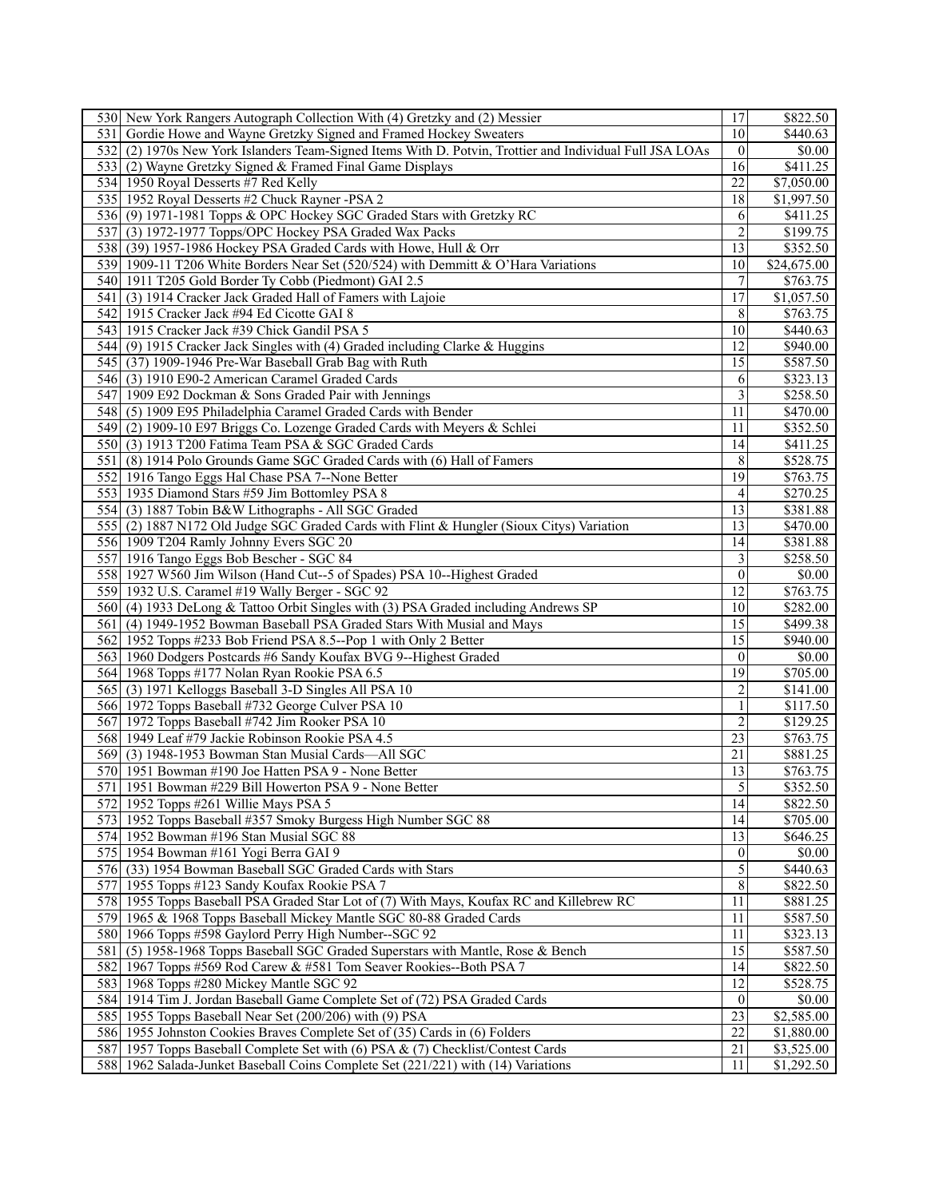| 530 New York Rangers Autograph Collection With (4) Gretzky and (2) Messier                               | 17                      | \$822.50    |
|----------------------------------------------------------------------------------------------------------|-------------------------|-------------|
| 531 Gordie Howe and Wayne Gretzky Signed and Framed Hockey Sweaters                                      | 10                      | \$440.63    |
| 532 (2) 1970s New York Islanders Team-Signed Items With D. Potvin, Trottier and Individual Full JSA LOAs | $\theta$                | \$0.00      |
| 533 (2) Wayne Gretzky Signed & Framed Final Game Displays                                                | 16                      | \$411.25    |
| 534 1950 Royal Desserts #7 Red Kelly                                                                     | 22                      | \$7,050.00  |
| 535 1952 Royal Desserts #2 Chuck Rayner -PSA 2                                                           | 18                      | \$1,997.50  |
| 536 (9) 1971-1981 Topps & OPC Hockey SGC Graded Stars with Gretzky RC                                    | 6                       | \$411.25    |
| 537 (3) 1972-1977 Topps/OPC Hockey PSA Graded Wax Packs                                                  | $\overline{c}$          | \$199.75    |
|                                                                                                          |                         |             |
| 538 (39) 1957-1986 Hockey PSA Graded Cards with Howe, Hull & Orr                                         | 13                      | \$352.50    |
| 539 1909-11 T206 White Borders Near Set (520/524) with Demmitt & O'Hara Variations                       | 10                      | \$24,675.00 |
| 540 1911 T205 Gold Border Ty Cobb (Piedmont) GAI 2.5                                                     | $\boldsymbol{7}$        | \$763.75    |
| 541 (3) 1914 Cracker Jack Graded Hall of Famers with Lajoie                                              | 17                      | \$1,057.50  |
| 542 1915 Cracker Jack #94 Ed Cicotte GAI 8                                                               | 8                       | \$763.75    |
| 543 1915 Cracker Jack #39 Chick Gandil PSA 5                                                             | 10                      | \$440.63    |
| 544 (9) 1915 Cracker Jack Singles with (4) Graded including Clarke & Huggins                             | 12                      | \$940.00    |
| 545 (37) 1909-1946 Pre-War Baseball Grab Bag with Ruth                                                   | 15                      | \$587.50    |
| 546 (3) 1910 E90-2 American Caramel Graded Cards                                                         | 6                       | \$323.13    |
| 547 1909 E92 Dockman & Sons Graded Pair with Jennings                                                    | $\overline{\mathbf{3}}$ | \$258.50    |
| 548 (5) 1909 E95 Philadelphia Caramel Graded Cards with Bender                                           | 11                      | \$470.00    |
| 549 (2) 1909-10 E97 Briggs Co. Lozenge Graded Cards with Meyers & Schlei                                 | 11                      | \$352.50    |
| 550 (3) 1913 T200 Fatima Team PSA & SGC Graded Cards                                                     | 14                      | \$411.25    |
| 551 (8) 1914 Polo Grounds Game SGC Graded Cards with (6) Hall of Famers                                  | 8                       | \$528.75    |
| 552 1916 Tango Eggs Hal Chase PSA 7--None Better                                                         | 19                      | \$763.75    |
| 553 1935 Diamond Stars #59 Jim Bottomley PSA 8                                                           | 4                       | \$270.25    |
| 554 (3) 1887 Tobin B&W Lithographs - All SGC Graded                                                      | 13                      | \$381.88    |
| 555 (2) 1887 N172 Old Judge SGC Graded Cards with Flint & Hungler (Sioux Citys) Variation                | 13                      | \$470.00    |
|                                                                                                          | 14                      |             |
| 556 1909 T204 Ramly Johnny Evers SGC 20                                                                  |                         | \$381.88    |
| 557 1916 Tango Eggs Bob Bescher - SGC 84                                                                 | 3                       | \$258.50    |
| 558 1927 W560 Jim Wilson (Hand Cut--5 of Spades) PSA 10--Highest Graded                                  | $\mathbf{0}$            | \$0.00      |
| 559 1932 U.S. Caramel #19 Wally Berger - SGC 92                                                          | 12                      | \$763.75    |
| 560 (4) 1933 DeLong & Tattoo Orbit Singles with (3) PSA Graded including Andrews SP                      | 10                      | \$282.00    |
| 561 (4) 1949-1952 Bowman Baseball PSA Graded Stars With Musial and Mays                                  | 15                      | \$499.38    |
| 562 1952 Topps #233 Bob Friend PSA 8.5--Pop 1 with Only 2 Better                                         | $\overline{15}$         | \$940.00    |
| 563 1960 Dodgers Postcards #6 Sandy Koufax BVG 9--Highest Graded                                         | $\theta$                | \$0.00      |
| 564 1968 Topps #177 Nolan Ryan Rookie PSA 6.5                                                            | 19                      | \$705.00    |
| 565 (3) 1971 Kelloggs Baseball 3-D Singles All PSA 10                                                    | $\overline{c}$          | \$141.00    |
| 566 1972 Topps Baseball #732 George Culver PSA 10                                                        | $\mathbf{1}$            | \$117.50    |
| 567 1972 Topps Baseball #742 Jim Rooker PSA 10                                                           | $\overline{c}$          | \$129.25    |
| 568 1949 Leaf #79 Jackie Robinson Rookie PSA 4.5                                                         | $\overline{23}$         | \$763.75    |
| 569 (3) 1948-1953 Bowman Stan Musial Cards—All SGC                                                       | 21                      | \$881.25    |
| 570 1951 Bowman #190 Joe Hatten PSA 9 - None Better                                                      | 13                      | \$763.75    |
| 571 1951 Bowman #229 Bill Howerton PSA 9 - None Better                                                   | 5                       | \$352.50    |
| 572 1952 Topps #261 Willie Mays PSA 5                                                                    | 14                      | \$822.50    |
| 573   1952 Topps Baseball #357 Smoky Burgess High Number SGC 88                                          | 14                      | \$705.00    |
| 574 1952 Bowman #196 Stan Musial SGC 88                                                                  | 13                      | \$646.25    |
| 575 1954 Bowman #161 Yogi Berra GAI 9                                                                    | $\boldsymbol{0}$        | \$0.00      |
| 576 (33) 1954 Bowman Baseball SGC Graded Cards with Stars                                                | 5                       | \$440.63    |
|                                                                                                          | $\,$ 8 $\,$             | \$822.50    |
| 577 1955 Topps #123 Sandy Koufax Rookie PSA 7                                                            |                         |             |
| 578 1955 Topps Baseball PSA Graded Star Lot of (7) With Mays, Koufax RC and Killebrew RC                 | 11                      | \$881.25    |
| 579 1965 & 1968 Topps Baseball Mickey Mantle SGC 80-88 Graded Cards                                      | 11                      | \$587.50    |
| 580 1966 Topps #598 Gaylord Perry High Number--SGC 92                                                    | 11                      | \$323.13    |
| 581 (5) 1958-1968 Topps Baseball SGC Graded Superstars with Mantle, Rose & Bench                         | 15                      | \$587.50    |
| 582 1967 Topps #569 Rod Carew & #581 Tom Seaver Rookies--Both PSA 7                                      | 14                      | \$822.50    |
| 583 1968 Topps #280 Mickey Mantle SGC 92                                                                 | $\overline{12}$         | \$528.75    |
| 584 1914 Tim J. Jordan Baseball Game Complete Set of (72) PSA Graded Cards                               | $\boldsymbol{0}$        | \$0.00      |
| 585 1955 Topps Baseball Near Set (200/206) with (9) PSA                                                  | $\overline{23}$         | \$2,585.00  |
| 586 1955 Johnston Cookies Braves Complete Set of (35) Cards in (6) Folders                               | $\overline{22}$         | \$1,880.00  |
| 587 1957 Topps Baseball Complete Set with (6) PSA & (7) Checklist/Contest Cards                          | 21                      | \$3,525.00  |
| 588 1962 Salada-Junket Baseball Coins Complete Set (221/221) with (14) Variations                        | 11                      | \$1,292.50  |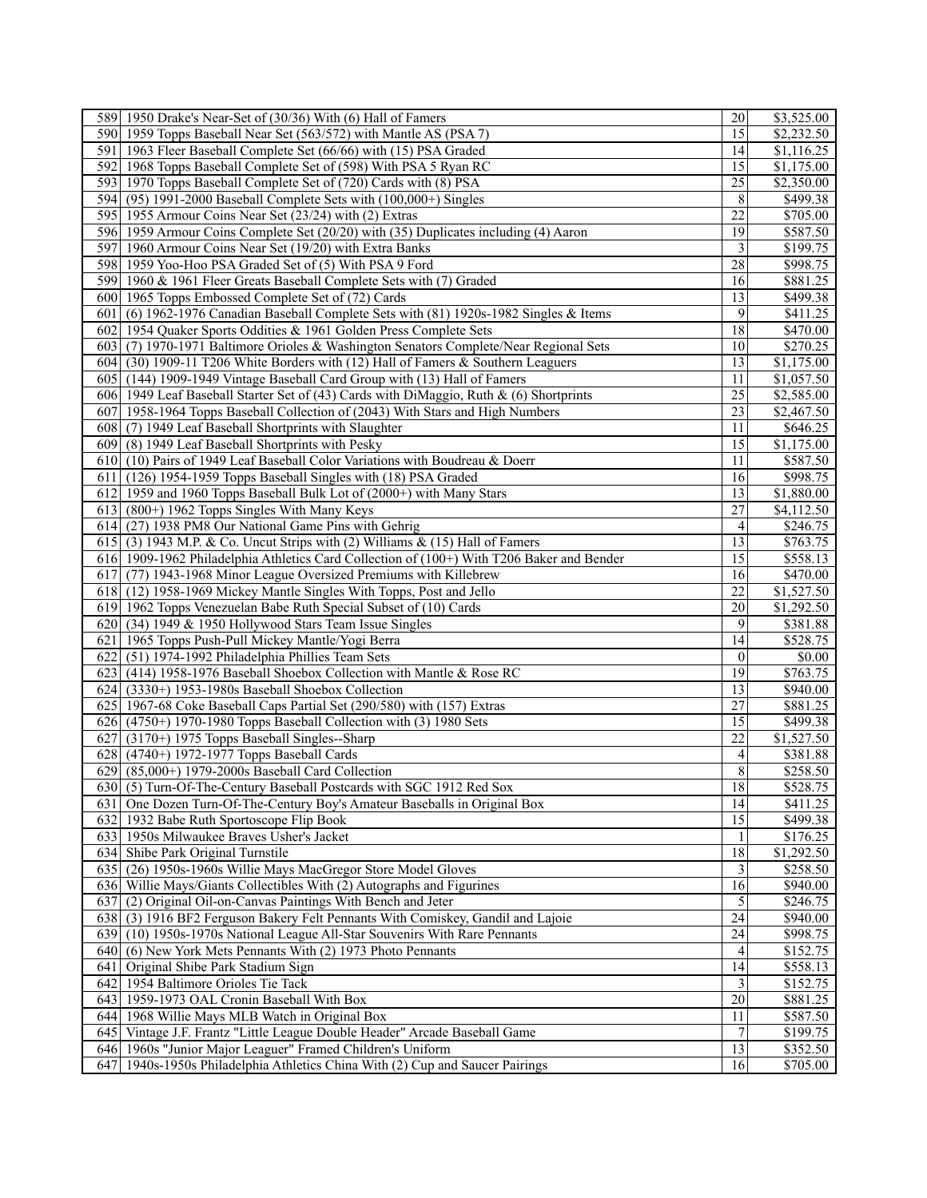|                  | 589 1950 Drake's Near-Set of (30/36) With (6) Hall of Famers                              | 20                       | \$3,525.00           |
|------------------|-------------------------------------------------------------------------------------------|--------------------------|----------------------|
|                  | 590 1959 Topps Baseball Near Set (563/572) with Mantle AS (PSA 7)                         | $\overline{15}$          | \$2,232.50           |
|                  | 591 1963 Fleer Baseball Complete Set (66/66) with (15) PSA Graded                         | 14                       | \$1,116.25           |
|                  | 592 1968 Topps Baseball Complete Set of (598) With PSA 5 Ryan RC                          | 15                       | \$1,175.00           |
|                  | 593 1970 Topps Baseball Complete Set of (720) Cards with (8) PSA                          | 25                       | \$2,350.00           |
|                  | 594 (95) 1991-2000 Baseball Complete Sets with (100,000+) Singles                         | 8                        | \$499.38             |
|                  | 595 1955 Armour Coins Near Set (23/24) with (2) Extras                                    | $\overline{22}$          | \$705.00             |
|                  | 596 1959 Armour Coins Complete Set (20/20) with (35) Duplicates including (4) Aaron       | 19                       | $\overline{$}587.50$ |
| 597 <sup>1</sup> |                                                                                           | 3                        | \$199.75             |
|                  | 1960 Armour Coins Near Set (19/20) with Extra Banks                                       |                          |                      |
|                  | 598 1959 Yoo-Hoo PSA Graded Set of (5) With PSA 9 Ford                                    | 28                       | \$998.75             |
|                  | 599 1960 & 1961 Fleer Greats Baseball Complete Sets with (7) Graded                       | 16                       | \$881.25             |
|                  | 600 1965 Topps Embossed Complete Set of (72) Cards                                        | $\overline{13}$          | \$499.38             |
| 601              | (6) 1962-1976 Canadian Baseball Complete Sets with (81) 1920s-1982 Singles & Items        | 9                        | \$411.25             |
|                  | 602 1954 Quaker Sports Oddities & 1961 Golden Press Complete Sets                         | 18                       | \$470.00             |
| 6031             | (7) 1970-1971 Baltimore Orioles & Washington Senators Complete/Near Regional Sets         | 10                       | \$270.25             |
| 604l             | (30) 1909-11 T206 White Borders with (12) Hall of Famers & Southern Leaguers              | 13                       | \$1,175.00           |
|                  | 605 (144) 1909-1949 Vintage Baseball Card Group with (13) Hall of Famers                  | 11                       | \$1,057.50           |
|                  | 606 1949 Leaf Baseball Starter Set of (43) Cards with DiMaggio, Ruth & (6) Shortprints    | 25                       | \$2,585.00           |
|                  | 607 1958-1964 Topps Baseball Collection of (2043) With Stars and High Numbers             | 23                       | \$2,467.50           |
|                  | 608 (7) 1949 Leaf Baseball Shortprints with Slaughter                                     | 11                       | \$646.25             |
| 6091             | (8) 1949 Leaf Baseball Shortprints with Pesky                                             | 15                       | \$1,175.00           |
|                  | 610 (10) Pairs of 1949 Leaf Baseball Color Variations with Boudreau & Doerr               | 11                       | \$587.50             |
|                  | 611 (126) 1954-1959 Topps Baseball Singles with (18) PSA Graded                           | 16                       | \$998.75             |
|                  | 612 1959 and 1960 Topps Baseball Bulk Lot of (2000+) with Many Stars                      | 13                       | \$1,880.00           |
|                  | $613$ (800+) 1962 Topps Singles With Many Keys                                            | 27                       | \$4,112.50           |
|                  | 614 (27) 1938 PM8 Our National Game Pins with Gehrig                                      | $\overline{4}$           | \$246.75             |
|                  | 615 (3) 1943 M.P. & Co. Uncut Strips with (2) Williams & (15) Hall of Famers              | $\overline{13}$          | \$763.75             |
|                  | 616 1909-1962 Philadelphia Athletics Card Collection of (100+) With T206 Baker and Bender | 15                       | \$558.13             |
| 617I             | (77) 1943-1968 Minor League Oversized Premiums with Killebrew                             | 16                       | \$470.00             |
|                  | 618 (12) 1958-1969 Mickey Mantle Singles With Topps, Post and Jello                       | 22                       | \$1,527.50           |
|                  | 619 1962 Topps Venezuelan Babe Ruth Special Subset of (10) Cards                          | 20                       | \$1,292.50           |
|                  | 620 (34) 1949 & 1950 Hollywood Stars Team Issue Singles                                   | 9                        | \$381.88             |
|                  |                                                                                           | 14                       | \$528.75             |
|                  | 621   1965 Topps Push-Pull Mickey Mantle/Yogi Berra                                       |                          |                      |
| 622              | (51) 1974-1992 Philadelphia Phillies Team Sets                                            | $\boldsymbol{0}$         | \$0.00               |
| 6231             | (414) 1958-1976 Baseball Shoebox Collection with Mantle & Rose RC                         | 19                       | \$763.75             |
|                  | $624$ (3330+) 1953-1980s Baseball Shoebox Collection                                      | 13                       | \$940.00             |
|                  | 625 1967-68 Coke Baseball Caps Partial Set (290/580) with (157) Extras                    | $\overline{27}$          | \$881.25             |
|                  | 626 (4750+) 1970-1980 Topps Baseball Collection with (3) 1980 Sets                        | 15                       | \$499.38             |
| 627              | (3170+) 1975 Topps Baseball Singles--Sharp                                                | 22                       | \$1,527.50           |
| 6281             | (4740+) 1972-1977 Topps Baseball Cards                                                    | $\overline{\mathcal{L}}$ | \$381.88             |
| 629              | (85,000+) 1979-2000s Baseball Card Collection                                             | $\,$ $\,$                | \$258.50             |
|                  | 630 (5) Turn-Of-The-Century Baseball Postcards with SGC 1912 Red Sox                      | $18\,$                   | \$528.75             |
|                  | 631 One Dozen Turn-Of-The-Century Boy's Amateur Baseballs in Original Box                 | 14                       | \$411.25             |
|                  | 632 1932 Babe Ruth Sportoscope Flip Book                                                  | 15                       | \$499.38             |
|                  | 633 1950s Milwaukee Braves Usher's Jacket                                                 | $\mathbf{1}$             | \$176.25             |
|                  | 634 Shibe Park Original Turnstile                                                         | 18                       | \$1,292.50           |
|                  | 635 (26) 1950s-1960s Willie Mays MacGregor Store Model Gloves                             | $\overline{3}$           | \$258.50             |
|                  | 636 Willie Mays/Giants Collectibles With (2) Autographs and Figurines                     | 16                       | \$940.00             |
|                  | 637 (2) Original Oil-on-Canvas Paintings With Bench and Jeter                             | 5                        | \$246.75             |
|                  | 638 (3) 1916 BF2 Ferguson Bakery Felt Pennants With Comiskey, Gandil and Lajoie           | 24                       | \$940.00             |
|                  | 639 (10) 1950s-1970s National League All-Star Souvenirs With Rare Pennants                | 24                       | \$998.75             |
|                  | 640 (6) New York Mets Pennants With (2) 1973 Photo Pennants                               | 4                        | \$152.75             |
| 641              | Original Shibe Park Stadium Sign                                                          | 14                       | \$558.13             |
|                  | 642 1954 Baltimore Orioles Tie Tack                                                       | 3                        | \$152.75             |
|                  | 643 1959-1973 OAL Cronin Baseball With Box                                                | 20                       | \$881.25             |
|                  | 644 1968 Willie Mays MLB Watch in Original Box                                            | 11                       | \$587.50             |
|                  | 645 Vintage J.F. Frantz "Little League Double Header" Arcade Baseball Game                | 7                        | \$199.75             |
|                  | 646 1960s "Junior Major Leaguer" Framed Children's Uniform                                | 13                       | \$352.50             |
|                  |                                                                                           |                          |                      |
| 647              | 1940s-1950s Philadelphia Athletics China With (2) Cup and Saucer Pairings                 | 16                       | \$705.00             |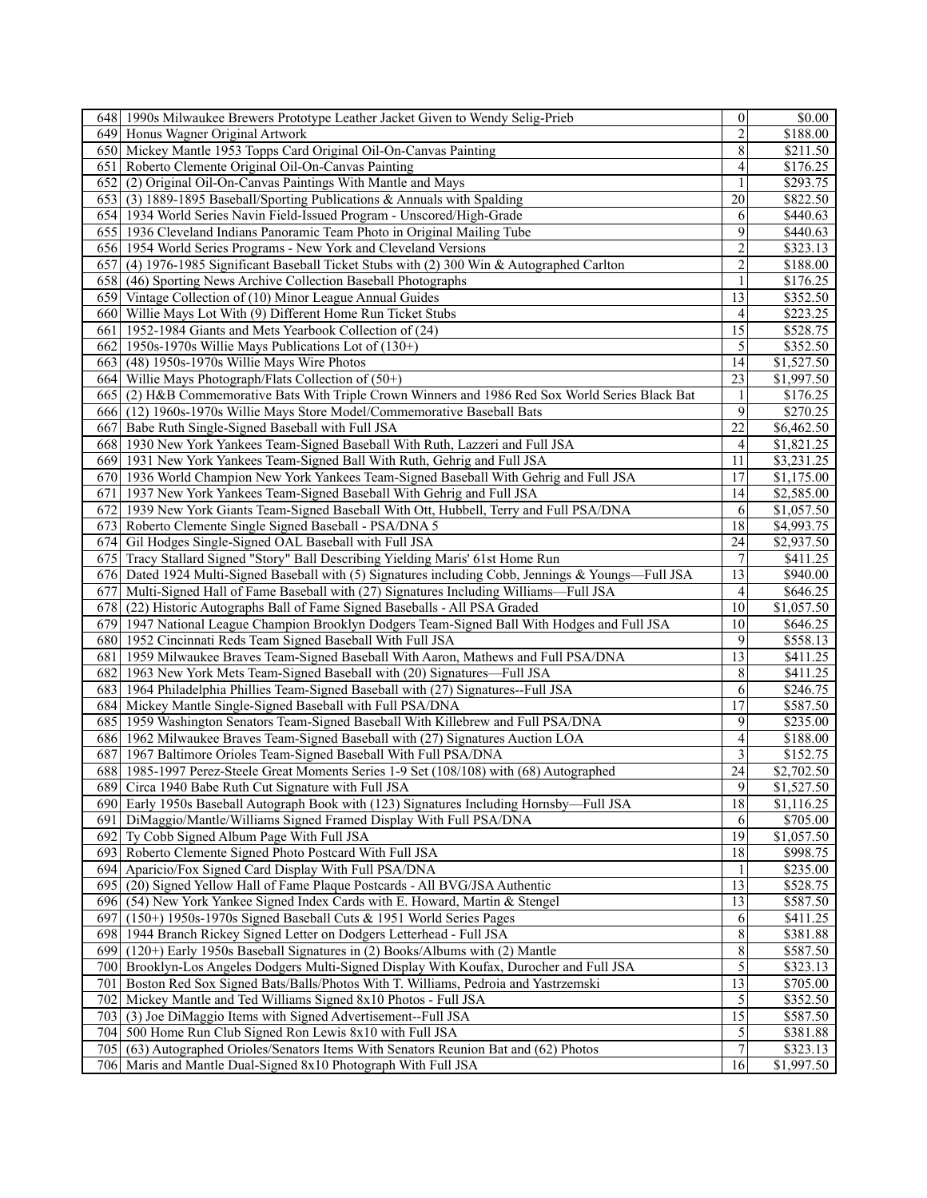| 648   1990s Milwaukee Brewers Prototype Leather Jacket Given to Wendy Selig-Prieb                     | $\boldsymbol{0}$         | \$0.00                 |
|-------------------------------------------------------------------------------------------------------|--------------------------|------------------------|
| 649 Honus Wagner Original Artwork                                                                     | $\overline{2}$           | \$188.00               |
| 650 Mickey Mantle 1953 Topps Card Original Oil-On-Canvas Painting                                     | 8                        | \$211.50               |
| 651 Roberto Clemente Original Oil-On-Canvas Painting                                                  | 4                        | \$176.25               |
| 652<br>(2) Original Oil-On-Canvas Paintings With Mantle and Mays                                      |                          | \$293.75               |
| 653 (3) 1889-1895 Baseball/Sporting Publications & Annuals with Spalding                              | 20                       | \$822.50               |
| 654 1934 World Series Navin Field-Issued Program - Unscored/High-Grade                                | 6                        | $\sqrt{$440.63}$       |
| 655 1936 Cleveland Indians Panoramic Team Photo in Original Mailing Tube                              | 9                        | \$440.63               |
| 656 1954 World Series Programs - New York and Cleveland Versions                                      | $\overline{c}$           | \$323.13               |
| 657<br>(4) 1976-1985 Significant Baseball Ticket Stubs with (2) 300 Win & Autographed Carlton         | $\overline{c}$           | \$188.00               |
| (46) Sporting News Archive Collection Baseball Photographs<br>658                                     | $\mathbf{1}$             | \$176.25               |
| 659 Vintage Collection of (10) Minor League Annual Guides                                             | $\overline{13}$          | \$352.50               |
| 660 Willie Mays Lot With (9) Different Home Run Ticket Stubs                                          | 4                        | \$223.25               |
| 661 1952-1984 Giants and Mets Yearbook Collection of (24)                                             | $\overline{15}$          | \$528.75               |
|                                                                                                       |                          |                        |
| 662 1950s-1970s Willie Mays Publications Lot of $(130+)$                                              | 5                        | \$352.50               |
| (48) 1950s-1970s Willie Mays Wire Photos<br>6631                                                      | 14                       | \$1,527.50             |
| 664 Willie Mays Photograph/Flats Collection of $(50+)$                                                | $\overline{23}$          | \$1,997.50             |
| 665 (2) H&B Commemorative Bats With Triple Crown Winners and 1986 Red Sox World Series Black Bat      | 1                        | \$176.25               |
| 666 (12) 1960s-1970s Willie Mays Store Model/Commemorative Baseball Bats                              | 9                        | \$270.25               |
| 667 Babe Ruth Single-Signed Baseball with Full JSA                                                    | $\overline{22}$          | \$6,462.50             |
| 668 1930 New York Yankees Team-Signed Baseball With Ruth, Lazzeri and Full JSA                        | 4                        | \$1,821.25             |
| 669 1931 New York Yankees Team-Signed Ball With Ruth, Gehrig and Full JSA                             | 11                       | \$3,231.25             |
| 670 1936 World Champion New York Yankees Team-Signed Baseball With Gehrig and Full JSA                | 17                       | \$1,175.00             |
| 671   1937 New York Yankees Team-Signed Baseball With Gehrig and Full JSA                             | 14                       | \$2,585.00             |
| 672 1939 New York Giants Team-Signed Baseball With Ott, Hubbell, Terry and Full PSA/DNA               | 6                        | \$1,057.50             |
| 673 Roberto Clemente Single Signed Baseball - PSA/DNA 5                                               | 18                       | \$4,993.75             |
| 674 Gil Hodges Single-Signed OAL Baseball with Full JSA                                               | 24                       | $\overline{$2,937.50}$ |
| 675 Tracy Stallard Signed "Story" Ball Describing Yielding Maris' 61st Home Run                       | $\boldsymbol{7}$         | \$411.25               |
| 676 Dated 1924 Multi-Signed Baseball with (5) Signatures including Cobb, Jennings & Youngs—Full JSA   | 13                       | \$940.00               |
| 677<br>Multi-Signed Hall of Fame Baseball with (27) Signatures Including Williams—Full JSA            | $\overline{\mathcal{A}}$ | \$646.25               |
| 678 (22) Historic Autographs Ball of Fame Signed Baseballs - All PSA Graded                           | 10                       | \$1,057.50             |
| 679 1947 National League Champion Brooklyn Dodgers Team-Signed Ball With Hodges and Full JSA          | $\overline{10}$          | \$646.25               |
| 680 1952 Cincinnati Reds Team Signed Baseball With Full JSA                                           | 9                        | \$558.13               |
| 681 1959 Milwaukee Braves Team-Signed Baseball With Aaron, Mathews and Full PSA/DNA                   | 13                       | \$411.25               |
| 682 1963 New York Mets Team-Signed Baseball with (20) Signatures-Full JSA                             | 8                        | \$411.25               |
| 683 1964 Philadelphia Phillies Team-Signed Baseball with (27) Signatures--Full JSA                    | 6                        | \$246.75               |
| 684 Mickey Mantle Single-Signed Baseball with Full PSA/DNA                                            | $\overline{17}$          | \$587.50               |
| 685 1959 Washington Senators Team-Signed Baseball With Killebrew and Full PSA/DNA                     | 9                        | \$235.00               |
| 686 1962 Milwaukee Braves Team-Signed Baseball with (27) Signatures Auction LOA                       | 4                        | \$188.00               |
| 687<br>1967 Baltimore Orioles Team-Signed Baseball With Full PSA/DNA                                  | $\overline{\mathbf{3}}$  | \$152.75               |
| 1985-1997 Perez-Steele Great Moments Series 1-9 Set (108/108) with (68) Autographed<br>6881           | 24                       | \$2,702.50             |
| 689 Circa 1940 Babe Ruth Cut Signature with Full JSA                                                  | $\overline{9}$           | \$1,527.50             |
| 690 Early 1950s Baseball Autograph Book with (123) Signatures Including Hornsby—Full JSA              | $\overline{18}$          | \$1,116.25             |
| 691 DiMaggio/Mantle/Williams Signed Framed Display With Full PSA/DNA                                  | 6                        | \$705.00               |
| 692 Ty Cobb Signed Album Page With Full JSA                                                           | 19                       | \$1,057.50             |
| Roberto Clemente Signed Photo Postcard With Full JSA                                                  | 18                       | \$998.75               |
| 6931                                                                                                  | $\mathbf{1}$             |                        |
| 694 Aparicio/Fox Signed Card Display With Full PSA/DNA                                                | $\overline{13}$          | \$235.00               |
| 695 (20) Signed Yellow Hall of Fame Plaque Postcards - All BVG/JSA Authentic                          |                          | \$528.75               |
| (54) New York Yankee Signed Index Cards with E. Howard, Martin & Stengel<br>696                       | 13                       | \$587.50               |
| 697 <sup>1</sup><br>(150+) 1950s-1970s Signed Baseball Cuts & 1951 World Series Pages                 | 6                        | \$411.25               |
| 1944 Branch Rickey Signed Letter on Dodgers Letterhead - Full JSA<br>698 l                            | $\bf 8$                  | \$381.88               |
| 699 (120+) Early 1950s Baseball Signatures in (2) Books/Albums with (2) Mantle                        | $\overline{8}$           | \$587.50               |
| 700 Brooklyn-Los Angeles Dodgers Multi-Signed Display With Koufax, Durocher and Full JSA              | $\overline{5}$           | \$323.13               |
| 701 <sup> </sup><br>Boston Red Sox Signed Bats/Balls/Photos With T. Williams, Pedroia and Yastrzemski | 13                       | \$705.00               |
| 702<br>Mickey Mantle and Ted Williams Signed 8x10 Photos - Full JSA                                   | $\sqrt{5}$               | \$352.50               |
| (3) Joe DiMaggio Items with Signed Advertisement--Full JSA<br>703 <sup> </sup>                        | $\overline{15}$          | \$587.50               |
| 704 500 Home Run Club Signed Ron Lewis 8x10 with Full JSA                                             | $\mathfrak{S}$           | \$381.88               |
| 705 (63) Autographed Orioles/Senators Items With Senators Reunion Bat and (62) Photos                 | $\boldsymbol{7}$         | \$323.13               |
| 706 Maris and Mantle Dual-Signed 8x10 Photograph With Full JSA                                        | 16                       | \$1,997.50             |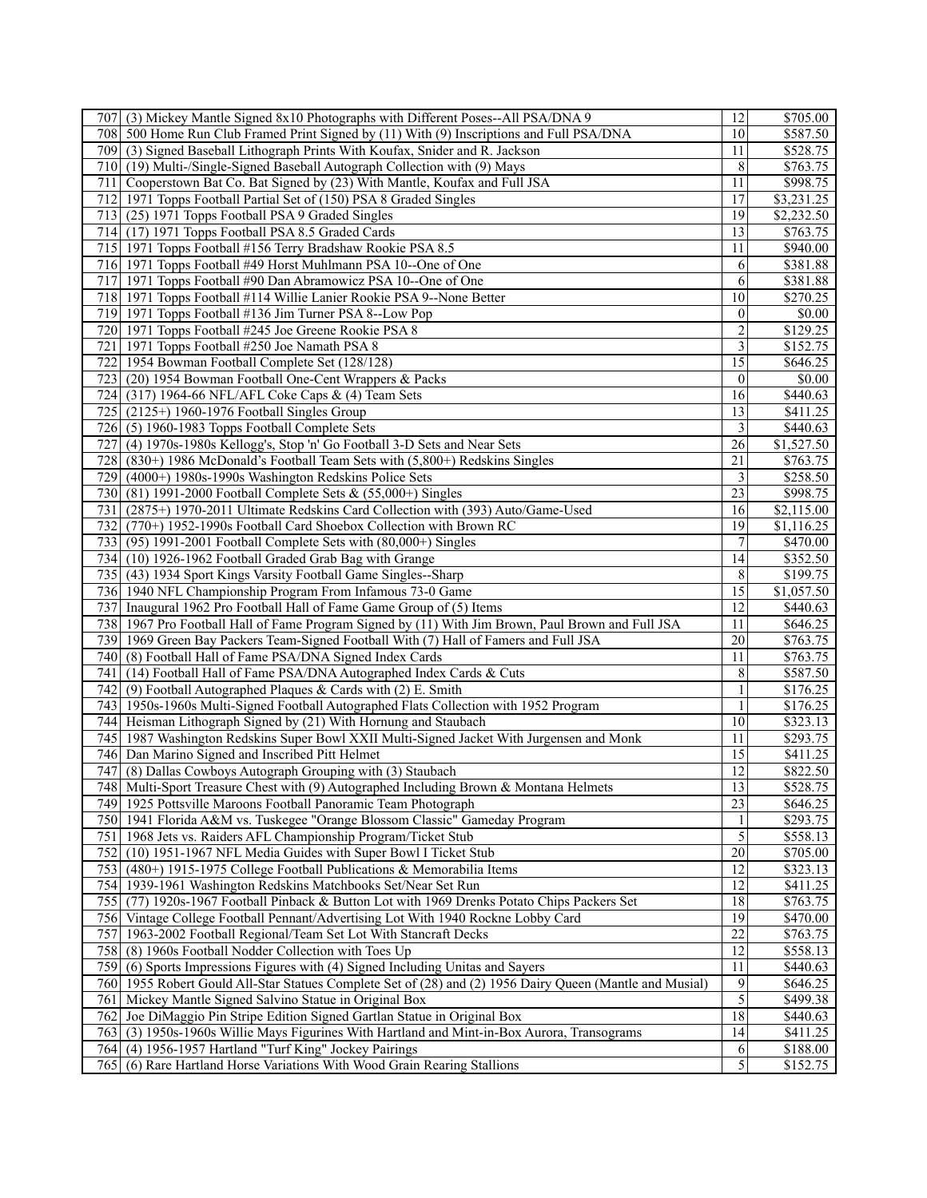| (3) Mickey Mantle Signed 8x10 Photographs with Different Poses--All PSA/DNA 9<br>707I                    | 12                      | \$705.00              |
|----------------------------------------------------------------------------------------------------------|-------------------------|-----------------------|
| 708 500 Home Run Club Framed Print Signed by (11) With (9) Inscriptions and Full PSA/DNA                 | 10                      | \$587.50              |
| 709 (3) Signed Baseball Lithograph Prints With Koufax, Snider and R. Jackson                             | 11                      | \$528.75              |
| 710 (19) Multi-/Single-Signed Baseball Autograph Collection with (9) Mays                                | 8                       | \$763.75              |
| 711 Cooperstown Bat Co. Bat Signed by (23) With Mantle, Koufax and Full JSA                              | 11                      | \$998.75              |
| 712 1971 Topps Football Partial Set of (150) PSA 8 Graded Singles                                        | 17                      | \$3,231.25            |
| 713 (25) 1971 Topps Football PSA 9 Graded Singles                                                        | 19                      | \$2,232.50            |
| 714 (17) 1971 Topps Football PSA 8.5 Graded Cards                                                        | 13                      | \$763.75              |
| 715 1971 Topps Football #156 Terry Bradshaw Rookie PSA 8.5                                               | 11                      | \$940.00              |
| 716 1971 Topps Football #49 Horst Muhlmann PSA 10--One of One                                            | 6                       | \$381.88              |
| 717 1971 Topps Football #90 Dan Abramowicz PSA 10--One of One                                            | 6                       | \$381.88              |
| 718 1971 Topps Football #114 Willie Lanier Rookie PSA 9--None Better                                     | 10                      | \$270.25              |
|                                                                                                          | $\mathbf{0}$            | \$0.00                |
| 719 1971 Topps Football #136 Jim Turner PSA 8--Low Pop                                                   |                         |                       |
| 720 1971 Topps Football #245 Joe Greene Rookie PSA 8                                                     | $\overline{c}$          | \$129.25              |
| 721   1971 Topps Football #250 Joe Namath PSA 8                                                          | $\overline{\mathbf{3}}$ | \$152.75              |
| 722 1954 Bowman Football Complete Set (128/128)                                                          | $\overline{15}$         | \$646.25              |
| 723 (20) 1954 Bowman Football One-Cent Wrappers & Packs                                                  | $\mathbf{0}$            | \$0.00                |
| (317) 1964-66 NFL/AFL Coke Caps & (4) Team Sets<br>724                                                   | 16                      | \$440.63              |
| 725 l<br>$(2125+)$ 1960-1976 Football Singles Group                                                      | 13                      | \$411.25              |
| 726 (5) 1960-1983 Topps Football Complete Sets                                                           | 3                       | \$440.63              |
| (4) 1970s-1980s Kellogg's, Stop 'n' Go Football 3-D Sets and Near Sets<br>727                            | 26                      | \$1,527.50            |
| 728<br>$(830+)$ 1986 McDonald's Football Team Sets with $(5,800+)$ Redskins Singles                      | $\overline{21}$         | \$763.75              |
| 729<br>(4000+) 1980s-1990s Washington Redskins Police Sets                                               | 3                       | \$258.50              |
| 730 <sup> </sup><br>$(81)$ 1991-2000 Football Complete Sets & $(55,000+)$ Singles                        | 23                      | \$998.75              |
| 731<br>(2875+) 1970-2011 Ultimate Redskins Card Collection with (393) Auto/Game-Used                     | 16                      | \$2,115.00            |
| (770+) 1952-1990s Football Card Shoebox Collection with Brown RC<br>732l                                 | 19                      | \$1,116.25            |
| 733 (95) 1991-2001 Football Complete Sets with (80,000+) Singles                                         | $\overline{7}$          | $\sqrt{$470.00}$      |
| 734 (10) 1926-1962 Football Graded Grab Bag with Grange                                                  | 14                      | \$352.50              |
| 735 <sup> </sup><br>(43) 1934 Sport Kings Varsity Football Game Singles--Sharp                           | 8                       | \$199.75              |
| 736 1940 NFL Championship Program From Infamous 73-0 Game                                                | $\overline{15}$         | $\overline{1,057.50}$ |
| 737 Inaugural 1962 Pro Football Hall of Fame Game Group of (5) Items                                     | 12                      | \$440.63              |
| 738 1967 Pro Football Hall of Fame Program Signed by (11) With Jim Brown, Paul Brown and Full JSA        | 11                      | \$646.25              |
| 739 1969 Green Bay Packers Team-Signed Football With (7) Hall of Famers and Full JSA                     | $\overline{20}$         | \$763.75              |
| (8) Football Hall of Fame PSA/DNA Signed Index Cards<br>740I                                             | 11                      | \$763.75              |
| (14) Football Hall of Fame PSA/DNA Autographed Index Cards & Cuts<br>741 <sup> </sup>                    | 8                       | \$587.50              |
| (9) Football Autographed Plaques & Cards with (2) E. Smith<br>742                                        | $\,1\,$                 | \$176.25              |
| 743 1950s-1960s Multi-Signed Football Autographed Flats Collection with 1952 Program                     | $\mathbf{1}$            | \$176.25              |
| 744 Heisman Lithograph Signed by (21) With Hornung and Staubach                                          | 10                      | \$323.13              |
| 745   1987 Washington Redskins Super Bowl XXII Multi-Signed Jacket With Jurgensen and Monk               | 11                      | \$293.75              |
| 746 Dan Marino Signed and Inscribed Pitt Helmet                                                          | 15                      |                       |
|                                                                                                          | 12                      | \$411.25              |
| (8) Dallas Cowboys Autograph Grouping with (3) Staubach<br>747                                           |                         | \$822.50              |
| 748 Multi-Sport Treasure Chest with (9) Autographed Including Brown & Montana Helmets                    | 13                      | \$528.75              |
| 749 1925 Pottsville Maroons Football Panoramic Team Photograph                                           | $\overline{23}$         | \$646.25              |
| 750   1941 Florida A&M vs. Tuskegee "Orange Blossom Classic" Gameday Program                             | 1                       | \$293.75              |
| 751   1968 Jets vs. Raiders AFL Championship Program/Ticket Stub                                         | 5                       | \$558.13              |
| (10) 1951-1967 NFL Media Guides with Super Bowl I Ticket Stub<br>752                                     | $\overline{20}$         | \$705.00              |
| 753 (480+) 1915-1975 College Football Publications & Memorabilia Items                                   | $\overline{12}$         | \$323.13              |
| 754 1939-1961 Washington Redskins Matchbooks Set/Near Set Run                                            | 12                      | \$411.25              |
| 755<br>(77) 1920s-1967 Football Pinback & Button Lot with 1969 Drenks Potato Chips Packers Set           | 18                      | \$763.75              |
| 756 Vintage College Football Pennant/Advertising Lot With 1940 Rockne Lobby Card                         | 19                      | \$470.00              |
| 757 1963-2002 Football Regional/Team Set Lot With Stancraft Decks                                        | $\overline{22}$         | \$763.75              |
| 758 (8) 1960s Football Nodder Collection with Toes Up                                                    | $\overline{12}$         | \$558.13              |
| 759 (6) Sports Impressions Figures with (4) Signed Including Unitas and Sayers                           | 11                      | \$440.63              |
| 760 1955 Robert Gould All-Star Statues Complete Set of (28) and (2) 1956 Dairy Queen (Mantle and Musial) | 9                       | \$646.25              |
| 761 Mickey Mantle Signed Salvino Statue in Original Box                                                  | 5                       | \$499.38              |
| Joe DiMaggio Pin Stripe Edition Signed Gartlan Statue in Original Box<br>762                             | 18                      | \$440.63              |
| 763 (3) 1950s-1960s Willie Mays Figurines With Hartland and Mint-in-Box Aurora, Transograms              | $\overline{14}$         | \$411.25              |
| 764 (4) 1956-1957 Hartland "Turf King" Jockey Pairings                                                   | 6                       | \$188.00              |
| (6) Rare Hartland Horse Variations With Wood Grain Rearing Stallions<br>7651                             | 5                       | \$152.75              |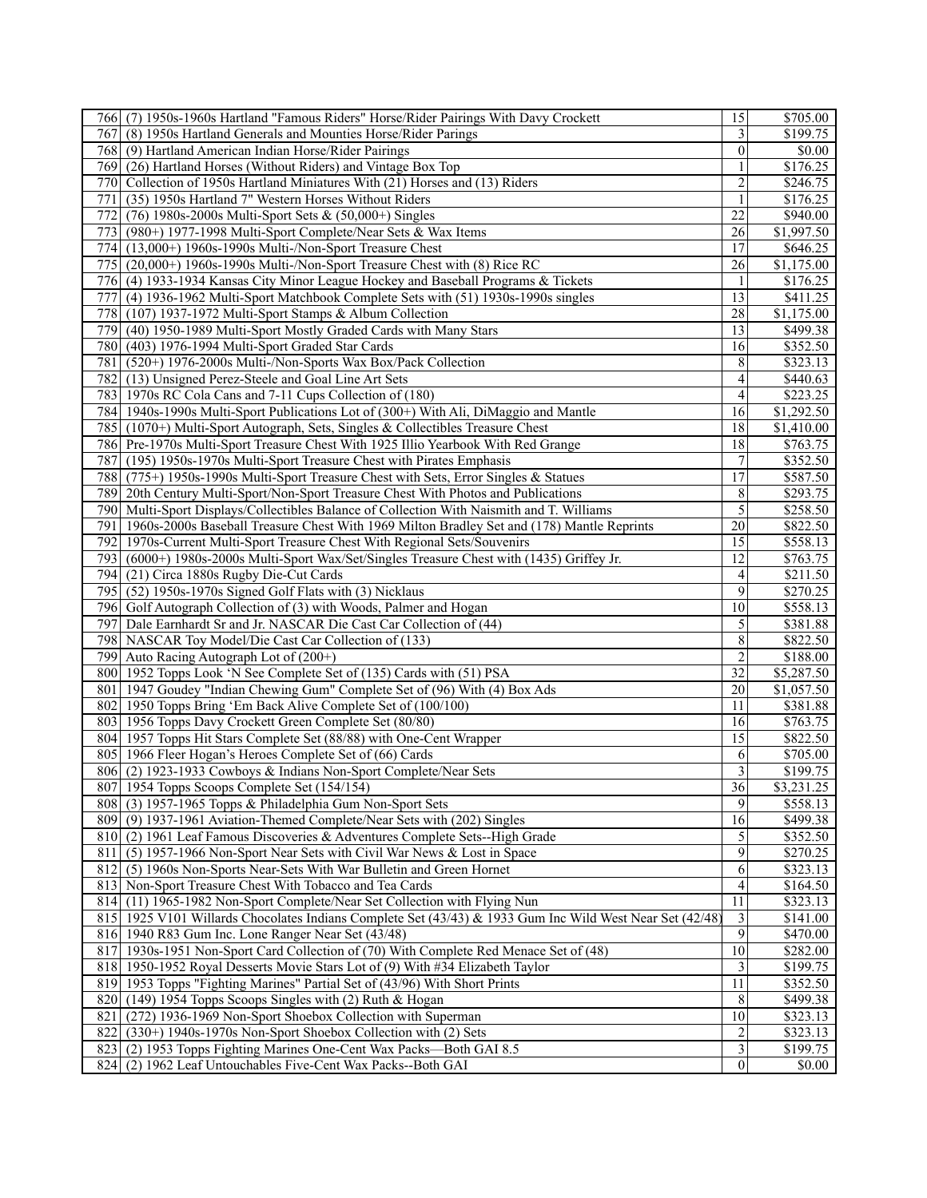| 766 (7) 1950s-1960s Hartland "Famous Riders" Horse/Rider Pairings With Davy Crockett                       | 15                      | \$705.00   |
|------------------------------------------------------------------------------------------------------------|-------------------------|------------|
| 767I<br>(8) 1950s Hartland Generals and Mounties Horse/Rider Parings                                       | $\overline{3}$          | \$199.75   |
| 768 (9) Hartland American Indian Horse/Rider Pairings                                                      | $\boldsymbol{0}$        | \$0.00     |
| 769 (26) Hartland Horses (Without Riders) and Vintage Box Top                                              |                         | \$176.25   |
| 770 <sup> </sup><br>Collection of 1950s Hartland Miniatures With (21) Horses and (13) Riders               | $\overline{c}$          | \$246.75   |
| (35) 1950s Hartland 7" Western Horses Without Riders<br>771 <sup> </sup>                                   | 1                       | \$176.25   |
| (76) 1980s-2000s Multi-Sport Sets & (50,000+) Singles<br>772I                                              | $\overline{22}$         | \$940.00   |
| (980+) 1977-1998 Multi-Sport Complete/Near Sets & Wax Items<br>7731                                        | 26                      | \$1,997.50 |
| 774<br>$(13,000+)$ 1960s-1990s Multi-/Non-Sport Treasure Chest                                             | 17                      | \$646.25   |
| 775I<br>$(20,000+)$ 1960s-1990s Multi-/Non-Sport Treasure Chest with $(8)$ Rice RC                         | 26                      | \$1,175.00 |
| 776 (4) 1933-1934 Kansas City Minor League Hockey and Baseball Programs & Tickets                          | 1                       | \$176.25   |
| 777l<br>(4) 1936-1962 Multi-Sport Matchbook Complete Sets with (51) 1930s-1990s singles                    | 13                      | \$411.25   |
|                                                                                                            | 28                      | \$1,175.00 |
| 778<br>(107) 1937-1972 Multi-Sport Stamps & Album Collection                                               |                         |            |
| 779<br>(40) 1950-1989 Multi-Sport Mostly Graded Cards with Many Stars                                      | 13                      | \$499.38   |
| 780 <sup> </sup><br>(403) 1976-1994 Multi-Sport Graded Star Cards                                          | 16                      | \$352.50   |
| 781 <sup> </sup><br>(520+) 1976-2000s Multi-/Non-Sports Wax Box/Pack Collection                            | 8                       | \$323.13   |
| 782 (13) Unsigned Perez-Steele and Goal Line Art Sets                                                      | 4                       | \$440.63   |
| 783 1970s RC Cola Cans and 7-11 Cups Collection of (180)                                                   | 4                       | \$223.25   |
| 784 1940s-1990s Multi-Sport Publications Lot of (300+) With Ali, DiMaggio and Mantle                       | 16                      | \$1,292.50 |
| 785 (1070+) Multi-Sport Autograph, Sets, Singles & Collectibles Treasure Chest                             | 18                      | \$1,410.00 |
| 786 Pre-1970s Multi-Sport Treasure Chest With 1925 Illio Yearbook With Red Grange                          | 18                      | \$763.75   |
| 787 (195) 1950s-1970s Multi-Sport Treasure Chest with Pirates Emphasis                                     | $\boldsymbol{7}$        | \$352.50   |
| 788 (775+) 1950s-1990s Multi-Sport Treasure Chest with Sets, Error Singles & Statues                       | $\overline{17}$         | \$587.50   |
| 789<br>20th Century Multi-Sport/Non-Sport Treasure Chest With Photos and Publications                      | 8                       | \$293.75   |
| Multi-Sport Displays/Collectibles Balance of Collection With Naismith and T. Williams<br>790 <sup> </sup>  | 5                       | \$258.50   |
| 791 1960s-2000s Baseball Treasure Chest With 1969 Milton Bradley Set and (178) Mantle Reprints             | 20                      | \$822.50   |
| 792<br>1970s-Current Multi-Sport Treasure Chest With Regional Sets/Souvenirs                               | $\overline{15}$         | \$558.13   |
| 7931<br>(6000+) 1980s-2000s Multi-Sport Wax/Set/Singles Treasure Chest with (1435) Griffey Jr.             | 12                      | \$763.75   |
| 794<br>(21) Circa 1880s Rugby Die-Cut Cards                                                                | 4                       | \$211.50   |
| 795<br>(52) 1950s-1970s Signed Golf Flats with (3) Nicklaus                                                | 9                       | \$270.25   |
| Golf Autograph Collection of (3) with Woods, Palmer and Hogan<br>796                                       | 10                      | \$558.13   |
| 797<br>Dale Earnhardt Sr and Jr. NASCAR Die Cast Car Collection of (44)                                    | 5                       | \$381.88   |
| 798 NASCAR Toy Model/Die Cast Car Collection of (133)                                                      | 8                       | \$822.50   |
| 799 Auto Racing Autograph Lot of (200+)                                                                    | $\overline{2}$          | \$188.00   |
| 800 1952 Topps Look 'N See Complete Set of (135) Cards with (51) PSA                                       | 32                      | \$5,287.50 |
| 801   1947 Goudey "Indian Chewing Gum" Complete Set of (96) With (4) Box Ads                               | 20                      | \$1,057.50 |
|                                                                                                            |                         |            |
| 802 1950 Topps Bring 'Em Back Alive Complete Set of (100/100)                                              | 11                      | \$381.88   |
| 803 1956 Topps Davy Crockett Green Complete Set (80/80)                                                    | 16                      | \$763.75   |
| 804 1957 Topps Hit Stars Complete Set (88/88) with One-Cent Wrapper                                        | 15                      | \$822.50   |
| 805   1966 Fleer Hogan's Heroes Complete Set of (66) Cards                                                 | 6                       | \$705.00   |
| 806 (2) 1923-1933 Cowboys & Indians Non-Sport Complete/Near Sets                                           | 3                       | \$199.75   |
| 807 1954 Topps Scoops Complete Set (154/154)                                                               | $\overline{36}$         | \$3,231.25 |
| 808 (3) 1957-1965 Topps & Philadelphia Gum Non-Sport Sets                                                  | 9                       | \$558.13   |
| 809 (9) 1937-1961 Aviation-Themed Complete/Near Sets with (202) Singles                                    | 16                      | \$499.38   |
| 810 (2) 1961 Leaf Famous Discoveries & Adventures Complete Sets--High Grade                                | 5                       | \$352.50   |
| 811 (5) 1957-1966 Non-Sport Near Sets with Civil War News & Lost in Space                                  | 9                       | \$270.25   |
| 812 (5) 1960s Non-Sports Near-Sets With War Bulletin and Green Hornet                                      | 6                       | \$323.13   |
| 813 Non-Sport Treasure Chest With Tobacco and Tea Cards                                                    | 4                       | \$164.50   |
| 814 (11) 1965-1982 Non-Sport Complete/Near Set Collection with Flying Nun                                  | 11                      | \$323.13   |
| 815   1925 V101 Willards Chocolates Indians Complete Set (43/43) & 1933 Gum Inc Wild West Near Set (42/48) | 3                       | \$141.00   |
| 816 1940 R83 Gum Inc. Lone Ranger Near Set (43/48)                                                         | 9                       | \$470.00   |
| 817 1930s-1951 Non-Sport Card Collection of (70) With Complete Red Menace Set of (48)                      | $\overline{10}$         | \$282.00   |
| 818 1950-1952 Royal Desserts Movie Stars Lot of (9) With #34 Elizabeth Taylor                              | $\mathfrak{Z}$          | \$199.75   |
| 819 1953 Topps "Fighting Marines" Partial Set of (43/96) With Short Prints                                 | 11                      | \$352.50   |
| (149) 1954 Topps Scoops Singles with (2) Ruth & Hogan<br>820                                               | 8                       | \$499.38   |
| 821<br>(272) 1936-1969 Non-Sport Shoebox Collection with Superman                                          | 10                      | \$323.13   |
| 822<br>(330+) 1940s-1970s Non-Sport Shoebox Collection with (2) Sets                                       | $\overline{2}$          | \$323.13   |
| 823<br>(2) 1953 Topps Fighting Marines One-Cent Wax Packs-Both GAI 8.5                                     | $\overline{\mathbf{3}}$ | \$199.75   |
| 824<br>(2) 1962 Leaf Untouchables Five-Cent Wax Packs--Both GAI                                            | $\overline{0}$          | \$0.00     |
|                                                                                                            |                         |            |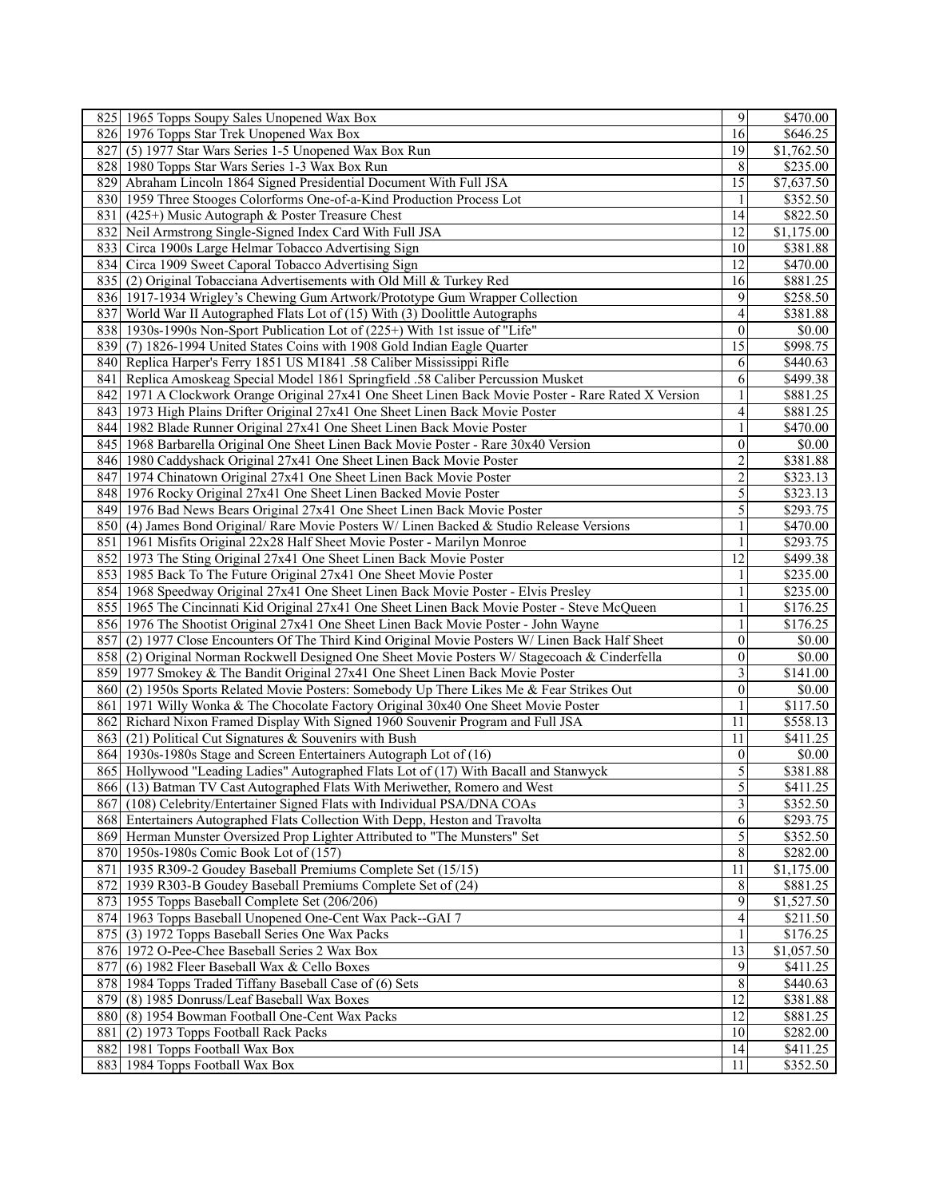| 825 1965 Topps Soupy Sales Unopened Wax Box                                                                 | 9              | \$470.00               |
|-------------------------------------------------------------------------------------------------------------|----------------|------------------------|
| 826 1976 Topps Star Trek Unopened Wax Box                                                                   | 16             | \$646.25               |
| 827<br>(5) 1977 Star Wars Series 1-5 Unopened Wax Box Run                                                   | 19             | \$1,762.50             |
| 828   1980 Topps Star Wars Series 1-3 Wax Box Run                                                           | 8              | \$235.00               |
| 829 Abraham Lincoln 1864 Signed Presidential Document With Full JSA                                         | 15             | \$7,637.50             |
| 830 1959 Three Stooges Colorforms One-of-a-Kind Production Process Lot                                      |                | \$352.50               |
| 831 (425+) Music Autograph & Poster Treasure Chest                                                          | 14             | \$822.50               |
| 832 Neil Armstrong Single-Signed Index Card With Full JSA                                                   | 12             | \$1,175.00             |
| 833<br>Circa 1900s Large Helmar Tobacco Advertising Sign                                                    | 10             | \$381.88               |
| 834 Circa 1909 Sweet Caporal Tobacco Advertising Sign                                                       | 12             | \$470.00               |
| 835 (2) Original Tobacciana Advertisements with Old Mill & Turkey Red                                       | 16             | \$881.25               |
| 836 1917-1934 Wrigley's Chewing Gum Artwork/Prototype Gum Wrapper Collection                                | 9              | \$258.50               |
| 837<br>World War II Autographed Flats Lot of (15) With (3) Doolittle Autographs                             | 4              | 3381.88                |
| 838 1930s-1990s Non-Sport Publication Lot of (225+) With 1st issue of "Life"                                | $\Omega$       | \$0.00                 |
| 839 (7) 1826-1994 United States Coins with 1908 Gold Indian Eagle Quarter                                   | 15             | \$998.75               |
| Replica Harper's Ferry 1851 US M1841 .58 Caliber Mississippi Rifle<br>8401                                  | 6              | \$440.63               |
| 841 Replica Amoskeag Special Model 1861 Springfield .58 Caliber Percussion Musket                           | 6              | \$499.38               |
| 842<br>1971 A Clockwork Orange Original 27x41 One Sheet Linen Back Movie Poster - Rare Rated X Version      |                | \$881.25               |
| 8431<br>1973 High Plains Drifter Original 27x41 One Sheet Linen Back Movie Poster                           | 4              | \$881.25               |
| 844   1982 Blade Runner Original 27x41 One Sheet Linen Back Movie Poster                                    | 1              | \$470.00               |
| 845   1968 Barbarella Original One Sheet Linen Back Movie Poster - Rare 30x40 Version                       | $\theta$       | \$0.00                 |
| 846 1980 Caddyshack Original 27x41 One Sheet Linen Back Movie Poster                                        | $\overline{2}$ | \$381.88               |
| 847<br>1974 Chinatown Original 27x41 One Sheet Linen Back Movie Poster                                      | $\overline{c}$ | \$323.13               |
| 848   1976 Rocky Original 27x41 One Sheet Linen Backed Movie Poster                                         | 5              | \$323.13               |
| 849 1976 Bad News Bears Original 27x41 One Sheet Linen Back Movie Poster                                    | 5              | \$293.75               |
| 850 (4) James Bond Original/ Rare Movie Posters W/ Linen Backed & Studio Release Versions                   | 1              | \$470.00               |
| 851   1961 Misfits Original 22x28 Half Sheet Movie Poster - Marilyn Monroe                                  | $\mathbf{1}$   | \$293.75               |
| 852<br>1973 The Sting Original 27x41 One Sheet Linen Back Movie Poster                                      | 12             | \$499.38               |
| 853 1985 Back To The Future Original 27x41 One Sheet Movie Poster                                           | 1              | \$235.00               |
| 854 1968 Speedway Original 27x41 One Sheet Linen Back Movie Poster - Elvis Presley                          |                | \$235.00               |
| 855   1965 The Cincinnati Kid Original 27x41 One Sheet Linen Back Movie Poster - Steve McQueen              | 1              | \$176.25               |
| 856 1976 The Shootist Original 27x41 One Sheet Linen Back Movie Poster - John Wayne                         | $\mathbf{1}$   | \$176.25               |
| 857<br>(2) 1977 Close Encounters Of The Third Kind Original Movie Posters W/ Linen Back Half Sheet          | $\overline{0}$ | \$0.00                 |
| 858 (2) Original Norman Rockwell Designed One Sheet Movie Posters W/ Stagecoach & Cinderfella               | $\overline{0}$ | \$0.00                 |
| 859 1977 Smokey & The Bandit Original 27x41 One Sheet Linen Back Movie Poster                               | $\overline{3}$ | \$141.00               |
| 860 (2) 1950s Sports Related Movie Posters: Somebody Up There Likes Me & Fear Strikes Out                   | $\theta$       | \$0.00                 |
| 861 1971 Willy Wonka & The Chocolate Factory Original 30x40 One Sheet Movie Poster                          | $\mathbf{1}$   | \$117.50               |
| 862<br>Richard Nixon Framed Display With Signed 1960 Souvenir Program and Full JSA                          | 11             | \$558.13               |
| 8631<br>$(21)$ Political Cut Signatures & Souvenirs with Bush                                               | 11             | \$411.25               |
| 864 1930s-1980s Stage and Screen Entertainers Autograph Lot of (16)                                         | $\mathbf{0}$   | \$0.00                 |
| 865 Hollywood "Leading Ladies" Autographed Flats Lot of (17) With Bacall and Stanwyck                       | 5              | \$381.88               |
| 866 (13) Batman TV Cast Autographed Flats With Meriwether, Romero and West                                  | 5              | \$411.25               |
| 867 (108) Celebrity/Entertainer Signed Flats with Individual PSA/DNA COAs                                   | $\overline{3}$ | $\overline{$352.50}$   |
| 868 Entertainers Autographed Flats Collection With Depp, Heston and Travolta                                | 6              | \$293.75               |
| 869 Herman Munster Oversized Prop Lighter Attributed to "The Munsters" Set                                  | 5              | \$352.50               |
| 870 1950s-1980s Comic Book Lot of (157)                                                                     | 8              | \$282.00               |
| 871 1935 R309-2 Goudey Baseball Premiums Complete Set (15/15)                                               | 11             | \$1,175.00             |
| 872 1939 R303-B Goudey Baseball Premiums Complete Set of (24)                                               | 8              | \$881.25               |
| 873 1955 Topps Baseball Complete Set (206/206)                                                              | 9              | \$1,527.50             |
| 874 1963 Topps Baseball Unopened One-Cent Wax Pack--GAI 7                                                   | $\overline{4}$ | \$211.50               |
| 875 (3) 1972 Topps Baseball Series One Wax Packs                                                            | 1              | \$176.25               |
| 876 1972 O-Pee-Chee Baseball Series 2 Wax Box                                                               | 13<br>9        | $\overline{$1,057.50}$ |
| 877<br>(6) 1982 Fleer Baseball Wax & Cello Boxes<br>878 1984 Topps Traded Tiffany Baseball Case of (6) Sets | 8              | \$411.25<br>\$440.63   |
| 879 (8) 1985 Donruss/Leaf Baseball Wax Boxes                                                                | 12             | \$381.88               |
| 880 (8) 1954 Bowman Football One-Cent Wax Packs                                                             | 12             | \$881.25               |
| 881 (2) 1973 Topps Football Rack Packs                                                                      | 10             | \$282.00               |
| 882 1981 Topps Football Wax Box                                                                             | 14             | \$411.25               |
| 883 1984 Topps Football Wax Box                                                                             | 11             | \$352.50               |
|                                                                                                             |                |                        |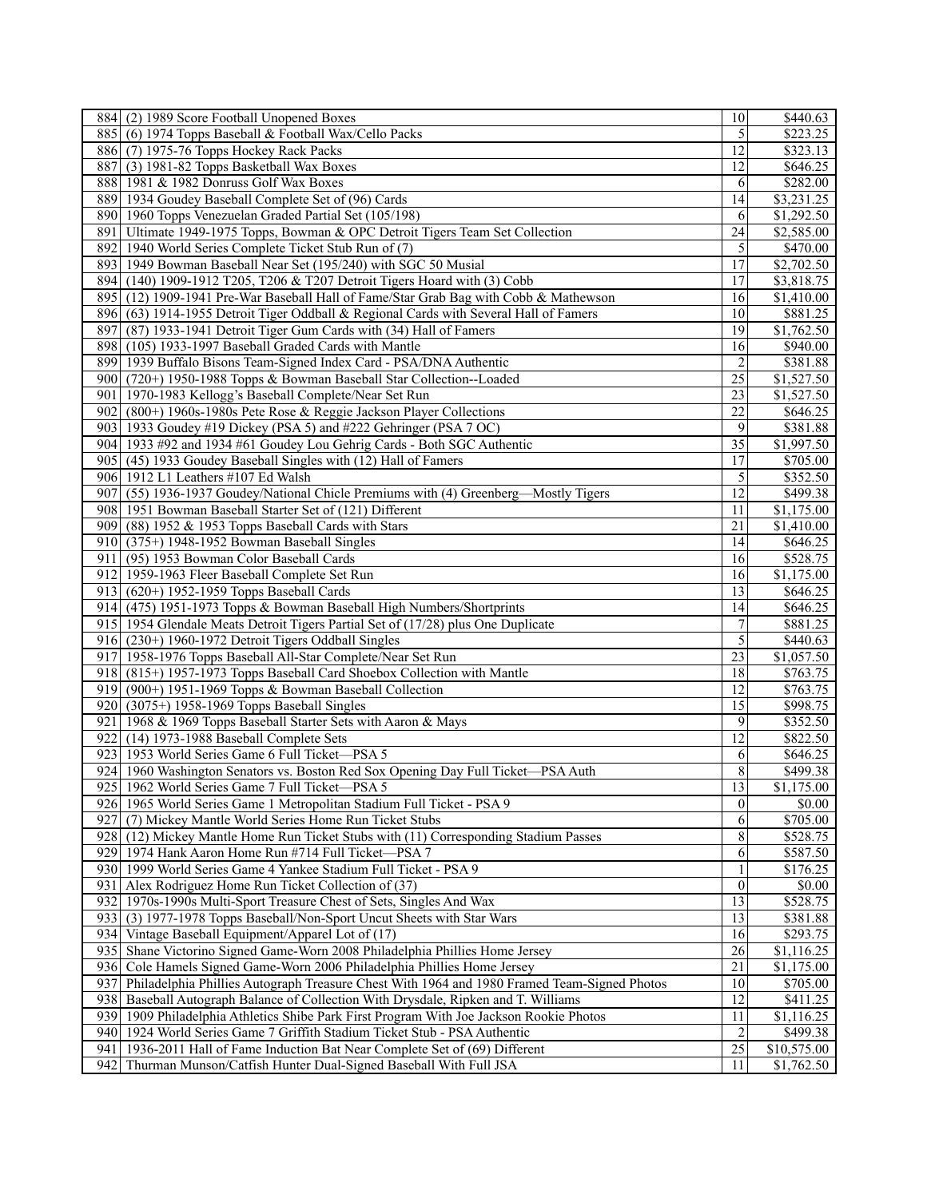|       | 884 (2) 1989 Score Football Unopened Boxes                                                  | 10              | \$440.63                |
|-------|---------------------------------------------------------------------------------------------|-----------------|-------------------------|
|       | 885 (6) 1974 Topps Baseball & Football Wax/Cello Packs                                      | 5               | \$223.25                |
|       | 886 (7) 1975-76 Topps Hockey Rack Packs                                                     | 12              | \$323.13                |
|       | 887 (3) 1981-82 Topps Basketball Wax Boxes                                                  | 12              | \$646.25                |
|       | 888 1981 & 1982 Donruss Golf Wax Boxes                                                      | 6               | \$282.00                |
|       | 889 1934 Goudey Baseball Complete Set of (96) Cards                                         | 14              | \$3,231.25              |
|       | 890 1960 Topps Venezuelan Graded Partial Set (105/198)                                      | 6               | \$1,292.50              |
| 891   | Ultimate 1949-1975 Topps, Bowman & OPC Detroit Tigers Team Set Collection                   | 24              | \$2,585.00              |
| 892   | 1940 World Series Complete Ticket Stub Run of (7)                                           | 5               | \$470.00                |
|       | 893 1949 Bowman Baseball Near Set (195/240) with SGC 50 Musial                              | 17              | \$2,702.50              |
|       |                                                                                             | 17              |                         |
|       | 894 (140) 1909-1912 T205, T206 & T207 Detroit Tigers Hoard with (3) Cobb                    |                 | \$3,818.75              |
|       | 895 (12) 1909-1941 Pre-War Baseball Hall of Fame/Star Grab Bag with Cobb & Mathewson        | 16              | \$1,410.00              |
|       | 896 (63) 1914-1955 Detroit Tiger Oddball & Regional Cards with Several Hall of Famers       | 10              | \$881.25                |
| 897   | (87) 1933-1941 Detroit Tiger Gum Cards with (34) Hall of Famers                             | 19              | \$1,762.50              |
| 898   | (105) 1933-1997 Baseball Graded Cards with Mantle                                           | 16              | \$940.00                |
|       | 899 1939 Buffalo Bisons Team-Signed Index Card - PSA/DNA Authentic                          | $\overline{2}$  | \$381.88                |
|       | 900 (720+) 1950-1988 Topps & Bowman Baseball Star Collection--Loaded                        | 25              | \$1,527.50              |
| 901 l | 1970-1983 Kellogg's Baseball Complete/Near Set Run                                          | 23              | \$1,527.50              |
| 902   | (800+) 1960s-1980s Pete Rose & Reggie Jackson Player Collections                            | 22              | \$646.25                |
|       | 903 1933 Goudey #19 Dickey (PSA 5) and #222 Gehringer (PSA 7 OC)                            | 9               | \$381.88                |
|       | 904 1933 #92 and 1934 #61 Goudey Lou Gehrig Cards - Both SGC Authentic                      | 35              | \$1,997.50              |
|       | 905 (45) 1933 Goudey Baseball Singles with (12) Hall of Famers                              | 17              | \$705.00                |
|       | 906 1912 L1 Leathers #107 Ed Walsh                                                          | 5               | \$352.50                |
| 907   | (55) 1936-1937 Goudey/National Chicle Premiums with (4) Greenberg-Mostly Tigers             | 12              | \$499.38                |
|       | 908 1951 Bowman Baseball Starter Set of (121) Different                                     | 11              | \$1,175.00              |
|       | 909 (88) 1952 & 1953 Topps Baseball Cards with Stars                                        | 21              | \$1,410.00              |
|       |                                                                                             | 14              | \$646.25                |
|       | 910 (375+) 1948-1952 Bowman Baseball Singles                                                |                 |                         |
| 911 l | (95) 1953 Bowman Color Baseball Cards                                                       | 16              | \$528.75                |
|       | 912 1959-1963 Fleer Baseball Complete Set Run                                               | 16              | \$1,175.00              |
|       | 913 (620+) 1952-1959 Topps Baseball Cards                                                   | 13              | \$646.25                |
|       | 914 (475) 1951-1973 Topps & Bowman Baseball High Numbers/Shortprints                        | 14              | \$646.25                |
|       | 915 1954 Glendale Meats Detroit Tigers Partial Set of (17/28) plus One Duplicate            | 7               | \$881.25                |
|       | 916 (230+) 1960-1972 Detroit Tigers Oddball Singles                                         | 5               | \$440.63                |
|       | 917 1958-1976 Topps Baseball All-Star Complete/Near Set Run                                 | $\overline{23}$ | \$1,057.50              |
|       | 918 (815+) 1957-1973 Topps Baseball Card Shoebox Collection with Mantle                     | 18              | \$763.75                |
|       | $\overline{919}$ (900+) 1951-1969 Topps & Bowman Baseball Collection                        | 12              | \$763.75                |
|       | 920 (3075+) 1958-1969 Topps Baseball Singles                                                | 15              | \$998.75                |
| 921 l | 1968 & 1969 Topps Baseball Starter Sets with Aaron & Mays                                   | 9               | \$352.50                |
| 922   | (14) 1973-1988 Baseball Complete Sets                                                       | 12              | \$822.50                |
|       | 923 1953 World Series Game 6 Full Ticket-PSA 5                                              | 6               | \$646.25                |
|       | 924 1960 Washington Senators vs. Boston Red Sox Opening Day Full Ticket—PSA Auth            | 8               | \$499.38                |
|       | 925 1962 World Series Game 7 Full Ticket-PSA 5                                              | 13              | \$1,175.00              |
|       | 926 1965 World Series Game 1 Metropolitan Stadium Full Ticket - PSA 9                       | $\overline{0}$  | \$0.00                  |
|       | 927 (7) Mickey Mantle World Series Home Run Ticket Stubs                                    | 6               | \$705.00                |
|       |                                                                                             | $\,8\,$         |                         |
|       | 928 (12) Mickey Mantle Home Run Ticket Stubs with (11) Corresponding Stadium Passes         |                 | \$528.75                |
|       | 929 1974 Hank Aaron Home Run #714 Full Ticket—PSA 7                                         | 6               | \$587.50                |
|       | 930 1999 World Series Game 4 Yankee Stadium Full Ticket - PSA 9                             | $\mathbf{1}$    | \$176.25                |
| 931   | Alex Rodriguez Home Run Ticket Collection of (37)                                           | $\overline{0}$  | \$0.00                  |
|       | 932 1970s-1990s Multi-Sport Treasure Chest of Sets, Singles And Wax                         | 13              | \$528.75                |
|       | 933 (3) 1977-1978 Topps Baseball/Non-Sport Uncut Sheets with Star Wars                      | 13              | \$381.88                |
|       | 934 Vintage Baseball Equipment/Apparel Lot of (17)                                          | 16              | \$293.75                |
|       | 935 Shane Victorino Signed Game-Worn 2008 Philadelphia Phillies Home Jersey                 | 26              | $\overline{\$1,116.25}$ |
|       | 936 Cole Hamels Signed Game-Worn 2006 Philadelphia Phillies Home Jersey                     | 21              | \$1,175.00              |
| 9371  | Philadelphia Phillies Autograph Treasure Chest With 1964 and 1980 Framed Team-Signed Photos | 10              | \$705.00                |
|       | 938 Baseball Autograph Balance of Collection With Drysdale, Ripken and T. Williams          | 12              | \$411.25                |
|       | 939 1909 Philadelphia Athletics Shibe Park First Program With Joe Jackson Rookie Photos     | 11              | \$1,116.25              |
|       | 940 1924 World Series Game 7 Griffith Stadium Ticket Stub - PSA Authentic                   | $\overline{2}$  | \$499.38                |
| 941   | 1936-2011 Hall of Fame Induction Bat Near Complete Set of (69) Different                    | 25              | \$10,575.00             |
| 942 I | Thurman Munson/Catfish Hunter Dual-Signed Baseball With Full JSA                            | 11              | \$1,762.50              |
|       |                                                                                             |                 |                         |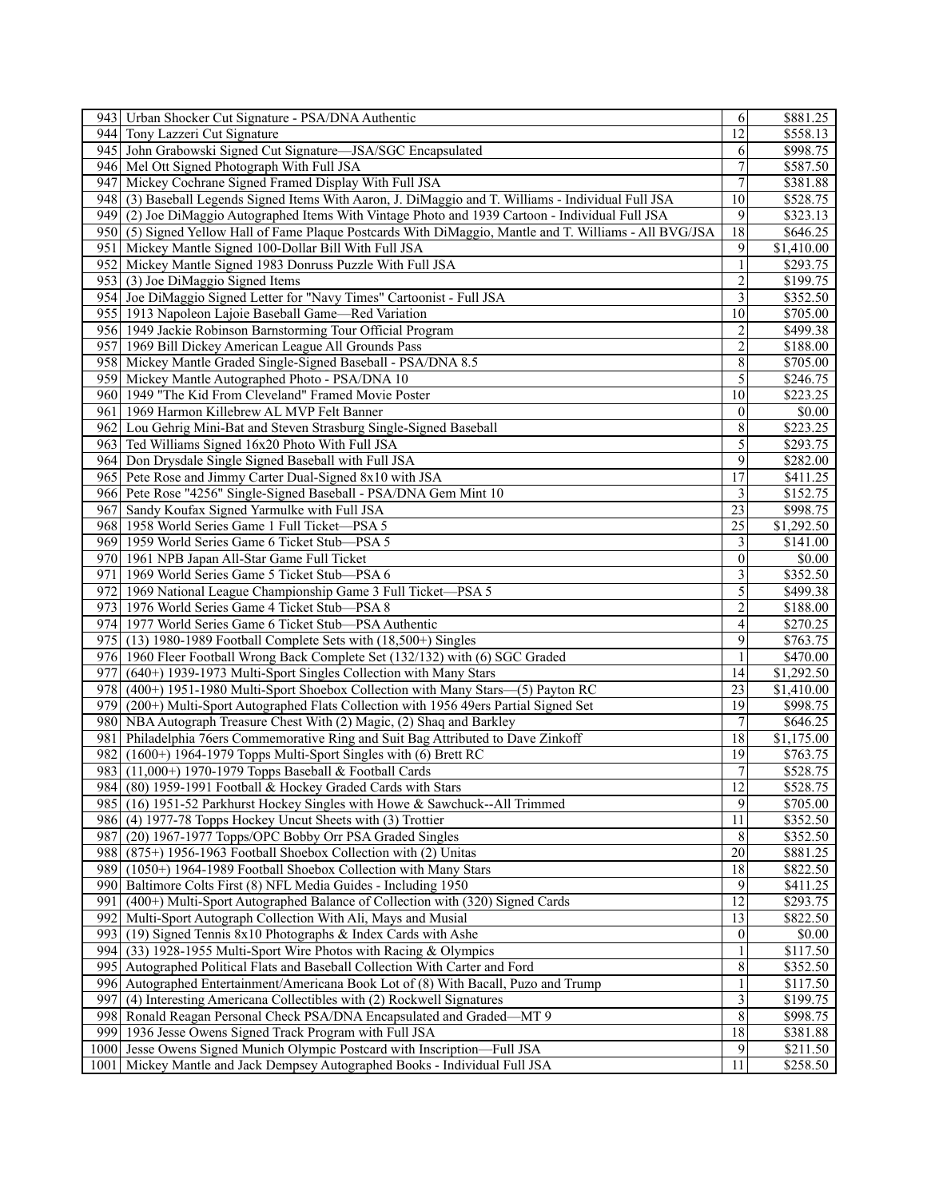| 943 Urban Shocker Cut Signature - PSA/DNA Authentic                                                     | 6                       | \$881.25             |
|---------------------------------------------------------------------------------------------------------|-------------------------|----------------------|
| 944 Tony Lazzeri Cut Signature                                                                          | 12                      | \$558.13             |
| 945 John Grabowski Signed Cut Signature—JSA/SGC Encapsulated                                            | 6                       | \$998.75             |
| 946 Mel Ott Signed Photograph With Full JSA                                                             | $\overline{7}$          | \$587.50             |
| Mickey Cochrane Signed Framed Display With Full JSA<br>9471                                             | $\overline{7}$          | \$381.88             |
| 948 (3) Baseball Legends Signed Items With Aaron, J. DiMaggio and T. Williams - Individual Full JSA     | 10                      | \$528.75             |
| 949 (2) Joe DiMaggio Autographed Items With Vintage Photo and 1939 Cartoon - Individual Full JSA        | 9                       | \$323.13             |
| 950 (5) Signed Yellow Hall of Fame Plaque Postcards With DiMaggio, Mantle and T. Williams - All BVG/JSA | 18                      | \$646.25             |
| 951 Mickey Mantle Signed 100-Dollar Bill With Full JSA                                                  | 9                       | \$1,410.00           |
| 952 Mickey Mantle Signed 1983 Donruss Puzzle With Full JSA                                              | $\mathbf{1}$            | \$293.75             |
| $\overline{953}$ (3) Joe DiMaggio Signed Items                                                          | $\overline{2}$          | \$199.75             |
| 954 Joe DiMaggio Signed Letter for "Navy Times" Cartoonist - Full JSA                                   | $\mathfrak{Z}$          | \$352.50             |
| 955 1913 Napoleon Lajoie Baseball Game—Red Variation                                                    | 10                      | \$705.00             |
| 956 1949 Jackie Robinson Barnstorming Tour Official Program                                             | 2                       | \$499.38             |
| 957 1969 Bill Dickey American League All Grounds Pass                                                   | $\overline{2}$          | \$188.00             |
|                                                                                                         |                         |                      |
| 958 Mickey Mantle Graded Single-Signed Baseball - PSA/DNA 8.5                                           | 8                       | \$705.00             |
| 959 Mickey Mantle Autographed Photo - PSA/DNA 10                                                        | 5                       | \$246.75             |
| 960 1949 "The Kid From Cleveland" Framed Movie Poster                                                   | 10                      | \$223.25             |
| 961   1969 Harmon Killebrew AL MVP Felt Banner                                                          | $\Omega$                | \$0.00               |
| 962 Lou Gehrig Mini-Bat and Steven Strasburg Single-Signed Baseball                                     | 8                       | \$223.25             |
| 963 Ted Williams Signed 16x20 Photo With Full JSA                                                       | 5                       | \$293.75             |
| 964 Don Drysdale Single Signed Baseball with Full JSA                                                   | 9                       | \$282.00             |
| 965 Pete Rose and Jimmy Carter Dual-Signed 8x10 with JSA                                                | 17                      | \$411.25             |
| 966 Pete Rose "4256" Single-Signed Baseball - PSA/DNA Gem Mint 10                                       | $\overline{3}$          | \$152.75             |
| 967 Sandy Koufax Signed Yarmulke with Full JSA                                                          | 23                      | \$998.75             |
| 968 1958 World Series Game 1 Full Ticket-PSA 5                                                          | 25                      | \$1,292.50           |
| 969 1959 World Series Game 6 Ticket Stub-PSA 5                                                          | $\overline{3}$          | \$141.00             |
| 970   1961 NPB Japan All-Star Game Full Ticket                                                          | $\Omega$                | \$0.00               |
| 971   1969 World Series Game 5 Ticket Stub-PSA 6                                                        | $\overline{3}$          | \$352.50             |
| 972 1969 National League Championship Game 3 Full Ticket-PSA 5                                          | 5                       | \$499.38             |
| 973 1976 World Series Game 4 Ticket Stub—PSA 8                                                          | $\overline{2}$          | \$188.00             |
| 974 1977 World Series Game 6 Ticket Stub—PSA Authentic                                                  | $\overline{4}$          | \$270.25             |
| 975 (13) 1980-1989 Football Complete Sets with (18,500+) Singles                                        | 9                       | \$763.75             |
| 976 1960 Fleer Football Wrong Back Complete Set (132/132) with (6) SGC Graded                           | 1                       | \$470.00             |
| (640+) 1939-1973 Multi-Sport Singles Collection with Many Stars<br>977I                                 | 14                      | \$1,292.50           |
| 978 (400+) 1951-1980 Multi-Sport Shoebox Collection with Many Stars-(5) Payton RC                       | 23                      | \$1,410.00           |
| 979 (200+) Multi-Sport Autographed Flats Collection with 1956 49ers Partial Signed Set                  | 19                      | \$998.75             |
| 980 NBA Autograph Treasure Chest With (2) Magic, (2) Shaq and Barkley                                   | 7                       | \$646.25             |
| 981 Philadelphia 76ers Commemorative Ring and Suit Bag Attributed to Dave Zinkoff                       | 18                      | \$1,175.00           |
| $(1600+)$ 1964-1979 Topps Multi-Sport Singles with (6) Brett RC<br>9821                                 | 19                      | \$763.75             |
| 983 (11,000+) 1970-1979 Topps Baseball & Football Cards                                                 | $\overline{7}$          | $\overline{$}528.75$ |
| 984 (80) 1959-1991 Football & Hockey Graded Cards with Stars                                            | $12\,$                  | \$528.75             |
| 985 (16) 1951-52 Parkhurst Hockey Singles with Howe & Sawchuck--All Trimmed                             | $\overline{9}$          | \$705.00             |
| 986 (4) 1977-78 Topps Hockey Uncut Sheets with (3) Trottier                                             | 11                      | \$352.50             |
| (20) 1967-1977 Topps/OPC Bobby Orr PSA Graded Singles<br>9871                                           | $\,8\,$                 | \$352.50             |
|                                                                                                         | 20                      |                      |
| 988 (875+) 1956-1963 Football Shoebox Collection with (2) Unitas                                        |                         | \$881.25             |
| 989 (1050+) 1964-1989 Football Shoebox Collection with Many Stars                                       | 18                      | \$822.50             |
| Baltimore Colts First (8) NFL Media Guides - Including 1950<br>990                                      | 9                       | \$411.25             |
| 9911<br>(400+) Multi-Sport Autographed Balance of Collection with (320) Signed Cards                    | 12                      | \$293.75             |
| Multi-Sport Autograph Collection With Ali, Mays and Musial<br>9921                                      | 13                      | \$822.50             |
| 993 (19) Signed Tennis 8x10 Photographs & Index Cards with Ashe                                         | $\overline{0}$          | \$0.00               |
| (33) 1928-1955 Multi-Sport Wire Photos with Racing & Olympics<br>9941                                   | $\mathbf{1}$            | \$117.50             |
| 995 Autographed Political Flats and Baseball Collection With Carter and Ford                            | 8                       | \$352.50             |
| 996 Autographed Entertainment/Americana Book Lot of (8) With Bacall, Puzo and Trump                     | $\mathbf{1}$            | \$117.50             |
| (4) Interesting Americana Collectibles with (2) Rockwell Signatures<br>9971                             | $\overline{\mathbf{3}}$ | \$199.75             |
| 998<br>Ronald Reagan Personal Check PSA/DNA Encapsulated and Graded—MT 9                                | 8                       | \$998.75             |
| 999<br>1936 Jesse Owens Signed Track Program with Full JSA                                              | 18                      | \$381.88             |
| Jesse Owens Signed Munich Olympic Postcard with Inscription-Full JSA<br>1000                            | 9                       | \$211.50             |
| Mickey Mantle and Jack Dempsey Autographed Books - Individual Full JSA<br>10011                         | 11                      | \$258.50             |